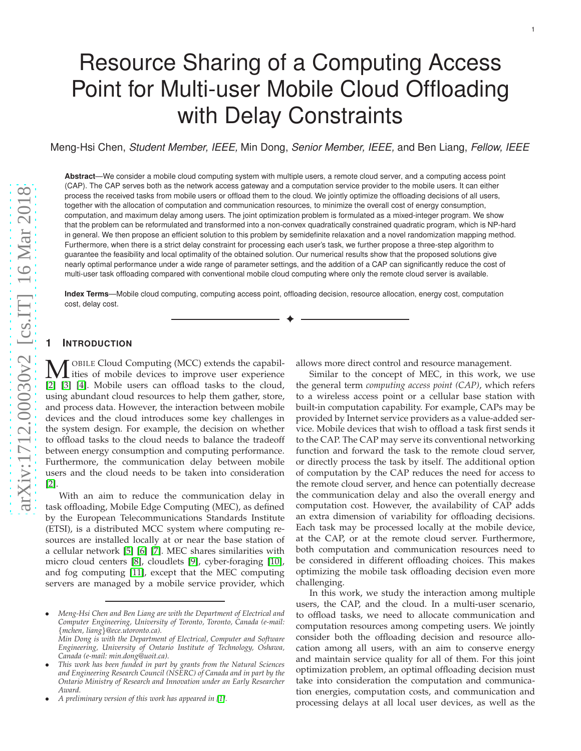# Resource Sharing of a Computing Access Point for Multi-user Mobile Cloud Offloading with Delay Constraints

Meng-Hsi Chen, *Student Member, IEEE,* Min Dong, *Senior Member, IEEE,* and Ben Liang, *Fellow, IEEE*

**Abstract**—We consider a mobile cloud computing system with multiple users, a remote cloud server, and a computing access point (CAP). The CAP serves both as the network access gateway and a computation service provider to the mobile users. It can either process the received tasks from mobile users or offload them to the cloud. We jointly optimize the offloading decisions of all users, together with the allocation of computation and communication resources, to minimize the overall cost of energy consumption, computation, and maximum delay among users. The joint optimization problem is formulated as a mixed-integer program. We show that the problem can be reformulated and transformed into a non-convex quadratically constrained quadratic program, which is NP-hard in general. We then propose an efficient solution to this problem by semidefinite relaxation and a novel randomization mapping method. Furthermore, when there is a strict delay constraint for processing each user's task, we further propose a three-step algorithm to guarantee the feasibility and local optimality of the obtained solution. Our numerical results show that the proposed solutions give nearly optimal performance under a wide range of parameter settings, and the addition of a CAP can significantly reduce the cost of multi-user task offloading compared with conventional mobile cloud computing where only the remote cloud server is available.

**Index Terms**—Mobile cloud computing, computing access point, offloading decision, resource allocation, energy cost, computation cost, delay cost.

✦

# **1 INTRODUCTION**

**M** OBILE Cloud Computing (MCC) extends the capabil-<br>[2] [3] [4] Mobile users can offload tasks to the cloud [\[2\]](#page-12-0) [\[3\]](#page-12-1) [\[4\]](#page-12-2). Mobile users can offload tasks to the cloud, using abundant cloud resources to help them gather, store, and process data. However, the interaction between mobile devices and the cloud introduces some key challenges in the system design. For example, the decision on whether to offload tasks to the cloud needs to balance the tradeoff between energy consumption and computing performance. Furthermore, the communication delay between mobile users and the cloud needs to be taken into consideration [\[2\]](#page-12-0).

With an aim to reduce the communication delay in task offloading, Mobile Edge Computing (MEC), as defined by the European Telecommunications Standards Institute (ETSI), is a distributed MCC system where computing resources are installed locally at or near the base station of a cellular network [\[5\]](#page-12-3) [\[6\]](#page-12-4) [\[7\]](#page-12-5). MEC shares similarities with micro cloud centers [\[8\]](#page-12-6), cloudlets [\[9\]](#page-12-7), cyber-foraging [\[10\]](#page-12-8), and fog computing [\[11\]](#page-12-9), except that the MEC computing servers are managed by a mobile service provider, which

allows more direct control and resource management.

Similar to the concept of MEC, in this work, we use the general term *computing access point (CAP)*, which refers to a wireless access point or a cellular base station with built-in computation capability. For example, CAPs may be provided by Internet service providers as a value-added ser vice. Mobile devices that wish to offload a task first sends it to the CAP. The CAP may serve its conventional networking function and forward the task to the remote cloud server, or directly process the task by itself. The additional optio n of computation by the CAP reduces the need for access to the remote cloud server, and hence can potentially decrease the communication delay and also the overall energy and computation cost. However, the availability of CAP adds an extra dimension of variability for offloading decisions. Each task may be processed locally at the mobile device, at the CAP, or at the remote cloud server. Furthermore, both computation and communication resources need to be considered in different offloading choices. This makes optimizing the mobile task offloading decision even more challenging.

In this work, we study the interaction among multiple users, the CAP, and the cloud. In a multi-user scenario, to offload tasks, we need to allocate communication and computation resources among competing users. We jointly consider both the offloading decision and resource allocation among all users, with an aim to conserve energy and maintain service quality for all of them. For this joint optimization problem, an optimal offloading decision must take into consideration the computation and communication energies, computation costs, and communication and processing delays at all local user devices, as well as the

<sup>•</sup> *Meng-Hsi Chen and Ben Liang are with the Department of Electrical and Computer Engineering, University of Toronto, Toronto, Canada (e-mail:* {*mchen, liang*}*@ece.utoronto.ca). Min Dong is with the Department of Electrical, Computer and Software*

*Engineering, University of Ontario Institute of Technology, Oshawa, Canada (e-mail: min.dong@uoit.ca).*

<sup>•</sup> *This work has been funded in part by grants from the Natural Sciences and Engineering Research Council (NSERC) of Canada and in part by the Ontario Ministry of Research and Innovation under an Early Researcher Award.*

<sup>•</sup> *A preliminary version of this work has appeared in [\[1\]](#page-12-10).*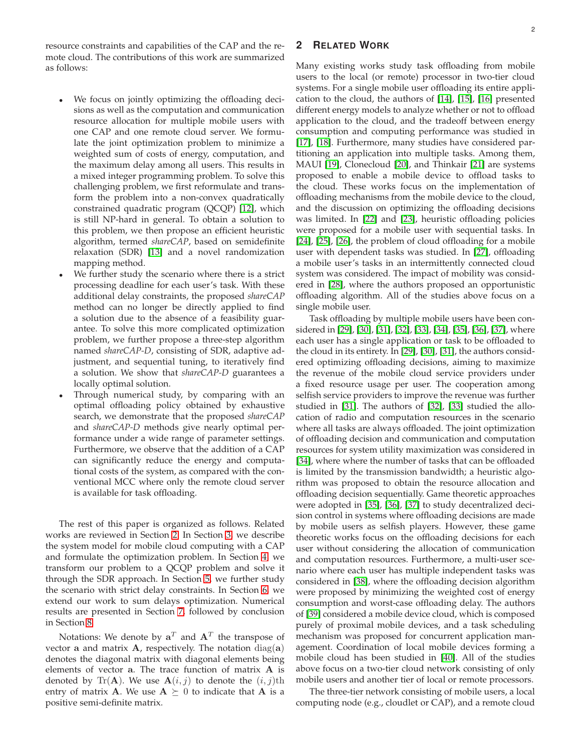resource constraints and capabilities of the CAP and the remote cloud. The contributions of this work are summarized as follows:

- We focus on jointly optimizing the offloading decisions as well as the computation and communication resource allocation for multiple mobile users with one CAP and one remote cloud server. We formulate the joint optimization problem to minimize a weighted sum of costs of energy, computation, and the maximum delay among all users. This results in a mixed integer programming problem. To solve this challenging problem, we first reformulate and transform the problem into a non-convex quadratically constrained quadratic program (QCQP) [\[12\]](#page-12-11), which is still NP-hard in general. To obtain a solution to this problem, we then propose an efficient heuristic algorithm, termed *shareCAP*, based on semidefinite relaxation (SDR) [\[13\]](#page-12-12) and a novel randomization mapping method.
- We further study the scenario where there is a strict processing deadline for each user's task. With these additional delay constraints, the proposed *shareCAP* method can no longer be directly applied to find a solution due to the absence of a feasibility guarantee. To solve this more complicated optimization problem, we further propose a three-step algorithm named *shareCAP-D*, consisting of SDR, adaptive adjustment, and sequential tuning, to iteratively find a solution. We show that *shareCAP-D* guarantees a locally optimal solution.
- Through numerical study, by comparing with an optimal offloading policy obtained by exhaustive search, we demonstrate that the proposed *shareCAP* and *shareCAP-D* methods give nearly optimal performance under a wide range of parameter settings. Furthermore, we observe that the addition of a CAP can significantly reduce the energy and computational costs of the system, as compared with the conventional MCC where only the remote cloud server is available for task offloading.

The rest of this paper is organized as follows. Related works are reviewed in Section [2.](#page-1-0) In Section [3,](#page-2-0) we describe the system model for mobile cloud computing with a CAP and formulate the optimization problem. In Section [4,](#page-4-0) we transform our problem to a QCQP problem and solve it through the SDR approach. In Section [5,](#page-7-0) we further study the scenario with strict delay constraints. In Section [6,](#page-9-0) we extend our work to sum delays optimization. Numerical results are presented in Section [7,](#page-10-0) followed by conclusion in Section [8.](#page-12-13)

Notations: We denote by  $\mathbf{a}^T$  and  $\mathbf{A}^T$  the transpose of vector a and matrix A, respectively. The notation  $diag(a)$ denotes the diagonal matrix with diagonal elements being elements of vector a. The trace function of matrix A is denoted by Tr(**A**). We use  $A(i, j)$  to denote the  $(i, j)$ th entry of matrix **A**. We use  $A \succeq 0$  to indicate that **A** is a positive semi-definite matrix.

# <span id="page-1-0"></span>**2 RELATED WORK**

Many existing works study task offloading from mobile users to the local (or remote) processor in two-tier cloud systems. For a single mobile user offloading its entire application to the cloud, the authors of [\[14\]](#page-12-14), [\[15\]](#page-12-15), [\[16\]](#page-12-16) presented different energy models to analyze whether or not to offload application to the cloud, and the tradeoff between energy consumption and computing performance was studied in [\[17\]](#page-12-17), [\[18\]](#page-12-18). Furthermore, many studies have considered partitioning an application into multiple tasks. Among them, MAUI [\[19\]](#page-12-19), Clonecloud [\[20\]](#page-12-20), and Thinkair [\[21\]](#page-12-21) are systems proposed to enable a mobile device to offload tasks to the cloud. These works focus on the implementation of offloading mechanisms from the mobile device to the cloud, and the discussion on optimizing the offloading decisions was limited. In [\[22\]](#page-12-22) and [\[23\]](#page-12-23), heuristic offloading policies were proposed for a mobile user with sequential tasks. In [\[24\]](#page-12-24), [\[25\]](#page-12-25), [\[26\]](#page-12-26), the problem of cloud offloading for a mobile user with dependent tasks was studied. In [\[27\]](#page-12-27), offloading a mobile user's tasks in an intermittently connected cloud system was considered. The impact of mobility was considered in [\[28\]](#page-12-28), where the authors proposed an opportunistic offloading algorithm. All of the studies above focus on a single mobile user.

Task offloading by multiple mobile users have been considered in [\[29\]](#page-12-29), [\[30\]](#page-13-0), [\[31\]](#page-13-1), [\[32\]](#page-13-2), [\[33\]](#page-13-3), [\[34\]](#page-13-4), [\[35\]](#page-13-5), [\[36\]](#page-13-6), [\[37\]](#page-13-7), where each user has a single application or task to be offloaded to the cloud in its entirety. In [\[29\]](#page-12-29), [\[30\]](#page-13-0), [\[31\]](#page-13-1), the authors considered optimizing offloading decisions, aiming to maximize the revenue of the mobile cloud service providers under a fixed resource usage per user. The cooperation among selfish service providers to improve the revenue was further studied in [\[31\]](#page-13-1). The authors of [\[32\]](#page-13-2), [\[33\]](#page-13-3) studied the allocation of radio and computation resources in the scenario where all tasks are always offloaded. The joint optimization of offloading decision and communication and computation resources for system utility maximization was considered in [\[34\]](#page-13-4), where where the number of tasks that can be offloaded is limited by the transmission bandwidth; a heuristic algorithm was proposed to obtain the resource allocation and offloading decision sequentially. Game theoretic approaches were adopted in [\[35\]](#page-13-5), [\[36\]](#page-13-6), [\[37\]](#page-13-7) to study decentralized decision control in systems where offloading decisions are made by mobile users as selfish players. However, these game theoretic works focus on the offloading decisions for each user without considering the allocation of communication and computation resources. Furthermore, a multi-user scenario where each user has multiple independent tasks was considered in [\[38\]](#page-13-8), where the offloading decision algorithm were proposed by minimizing the weighted cost of energy consumption and worst-case offloading delay. The authors of [\[39\]](#page-13-9) considered a mobile device cloud, which is composed purely of proximal mobile devices, and a task scheduling mechanism was proposed for concurrent application management. Coordination of local mobile devices forming a mobile cloud has been studied in [\[40\]](#page-13-10). All of the studies above focus on a two-tier cloud network consisting of only mobile users and another tier of local or remote processors.

The three-tier network consisting of mobile users, a local computing node (e.g., cloudlet or CAP), and a remote cloud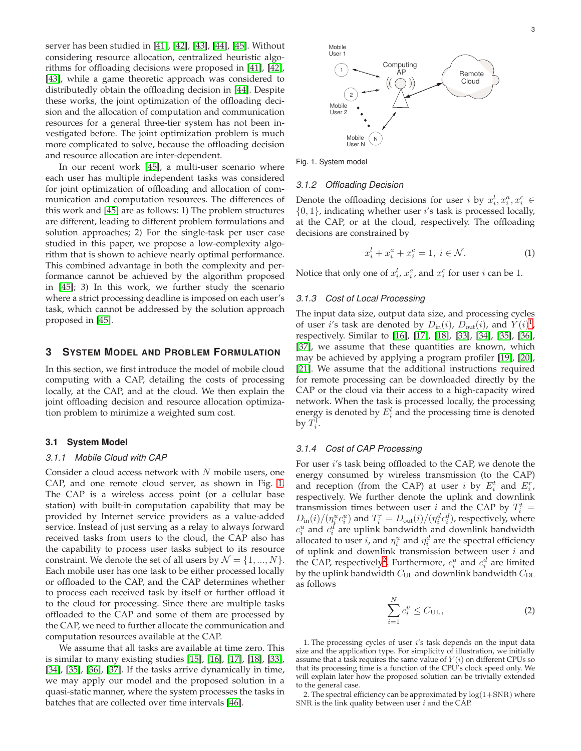server has been studied in [\[41\]](#page-13-11), [\[42\]](#page-13-12), [\[43\]](#page-13-13), [\[44\]](#page-13-14), [\[45\]](#page-13-15). Without considering resource allocation, centralized heuristic algorithms for offloading decisions were proposed in [\[41\]](#page-13-11), [\[42\]](#page-13-12), [\[43\]](#page-13-13), while a game theoretic approach was considered to distributedly obtain the offloading decision in [\[44\]](#page-13-14). Despite these works, the joint optimization of the offloading decision and the allocation of computation and communication resources for a general three-tier system has not been investigated before. The joint optimization problem is much more complicated to solve, because the offloading decision and resource allocation are inter-dependent.

In our recent work [\[45\]](#page-13-15), a multi-user scenario where each user has multiple independent tasks was considered for joint optimization of offloading and allocation of communication and computation resources. The differences of this work and [\[45\]](#page-13-15) are as follows: 1) The problem structures are different, leading to different problem formulations and solution approaches; 2) For the single-task per user case studied in this paper, we propose a low-complexity algorithm that is shown to achieve nearly optimal performance. This combined advantage in both the complexity and performance cannot be achieved by the algorithm proposed in [\[45\]](#page-13-15); 3) In this work, we further study the scenario where a strict processing deadline is imposed on each user's task, which cannot be addressed by the solution approach proposed in [\[45\]](#page-13-15).

# <span id="page-2-0"></span>**3 SYSTEM MODEL AND PROBLEM FORMULATION**

In this section, we first introduce the model of mobile cloud computing with a CAP, detailing the costs of processing locally, at the CAP, and at the cloud. We then explain the joint offloading decision and resource allocation optimization problem to minimize a weighted sum cost.

## **3.1 System Model**

#### *3.1.1 Mobile Cloud with CAP*

Consider a cloud access network with  $N$  mobile users, one CAP, and one remote cloud server, as shown in Fig. [1.](#page-2-1) The CAP is a wireless access point (or a cellular base station) with built-in computation capability that may be provided by Internet service providers as a value-added service. Instead of just serving as a relay to always forward received tasks from users to the cloud, the CAP also has the capability to process user tasks subject to its resource constraint. We denote the set of all users by  $\mathcal{N} = \{1, ..., N\}.$ Each mobile user has one task to be either processed locally or offloaded to the CAP, and the CAP determines whether to process each received task by itself or further offload it to the cloud for processing. Since there are multiple tasks offloaded to the CAP and some of them are processed by the CAP, we need to further allocate the communication and computation resources available at the CAP.

We assume that all tasks are available at time zero. This is similar to many existing studies [\[15\]](#page-12-15), [\[16\]](#page-12-16), [\[17\]](#page-12-17), [\[18\]](#page-12-18), [\[33\]](#page-13-3), [\[34\]](#page-13-4), [\[35\]](#page-13-5), [\[36\]](#page-13-6), [\[37\]](#page-13-7). If the tasks arrive dynamically in time, we may apply our model and the proposed solution in a quasi-static manner, where the system processes the tasks in batches that are collected over time intervals [\[46\]](#page-13-16).



<span id="page-2-1"></span>Fig. 1. System model

#### *3.1.2 Offloading Decision*

Denote the offloading decisions for user *i* by  $x_i^l, x_i^a, x_i^c \in$  $\{0, 1\}$ , indicating whether user i's task is processed locally, at the CAP, or at the cloud, respectively. The offloading decisions are constrained by

<span id="page-2-4"></span>
$$
x_i^l + x_i^a + x_i^c = 1, \ i \in \mathcal{N}.
$$
 (1)

Notice that only one of  $x_i^l$ ,  $x_i^a$ , and  $x_i^c$  for user *i* can be 1.

## *3.1.3 Cost of Local Processing*

The input data size, output data size, and processing cycles of user i's task are denoted by  $D_{\text{in}}(i)$ ,  $D_{\text{out}}(i)$ , and  $Y(i)^1$  $Y(i)^1$ , respectively. Similar to [\[16\]](#page-12-16), [\[17\]](#page-12-17), [\[18\]](#page-12-18), [\[33\]](#page-13-3), [\[34\]](#page-13-4), [\[35\]](#page-13-5), [\[36\]](#page-13-6), [\[37\]](#page-13-7), we assume that these quantities are known, which may be achieved by applying a program profiler [\[19\]](#page-12-19), [\[20\]](#page-12-20), [\[21\]](#page-12-21). We assume that the additional instructions required for remote processing can be downloaded directly by the CAP or the cloud via their access to a high-capacity wired network. When the task is processed locally, the processing energy is denoted by  $E^l_i$  and the processing time is denoted by  $T_i^l$ .

## *3.1.4 Cost of CAP Processing*

For user i's task being offloaded to the CAP, we denote the energy consumed by wireless transmission (to the CAP) and reception (from the CAP) at user *i* by  $E_i^t$  and  $E_i^r$ , respectively. We further denote the uplink and downlink transmission times between user *i* and the CAP by  $T_i^t$  =  $D_{\text{in}}(i)/(\eta_{i}^{u}c_{i}^{u})$  and  $T_{i}^{r}=D_{\text{out}}(i)/(\eta_{i}^{d}c_{i}^{d})$ , respectively, where  $c_i^u$  and  $c_i^d$  are uplink bandwidth and downlink bandwidth allocated to user i, and  $\eta_i^u$  and  $\eta_i^d$  are the spectral efficiency of uplink and downlink transmission between user  $i$  and the CAP, respectively<sup>[2](#page-2-3)</sup>. Furthermore,  $c_i^u$  and  $c_i^d$  are limited by the uplink bandwidth  $C_{UL}$  and downlink bandwidth  $C_{DL}$ as follows

<span id="page-2-5"></span>
$$
\sum_{i=1}^{N} c_i^u \le C_{\text{UL}},\tag{2}
$$

<span id="page-2-2"></span>1. The processing cycles of user i's task depends on the input data size and the application type. For simplicity of illustration, we initially assume that a task requires the same value of  $Y(i)$  on different CPUs so that its processing time is a function of the CPU's clock speed only. We will explain later how the proposed solution can be trivially extended to the general case.

<span id="page-2-3"></span>2. The spectral efficiency can be approximated by  $log(1+SNR)$  where SNR is the link quality between user  $i$  and the CAP.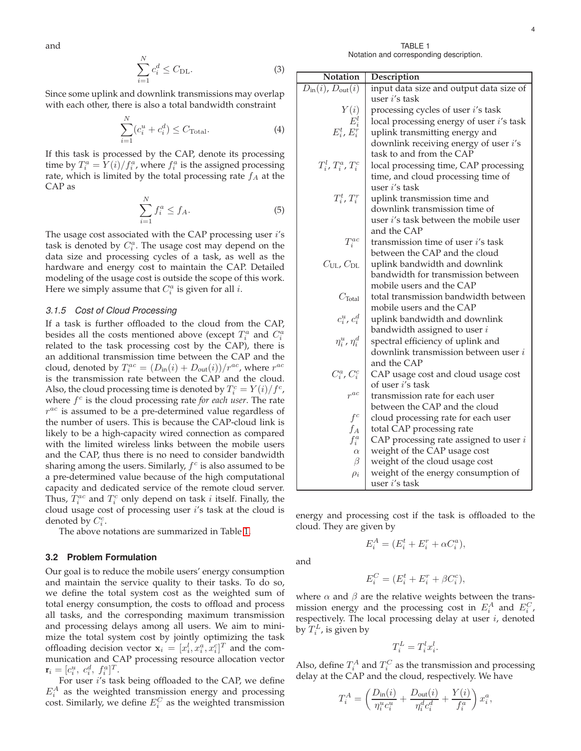and

$$
\sum_{i=1}^{N} c_i^d \le C_{\text{DL}}.\tag{3}
$$

Since some uplink and downlink transmissions may overlap with each other, there is also a total bandwidth constraint

$$
\sum_{i=1}^{N} (c_i^u + c_i^d) \le C_{\text{Total}}.\tag{4}
$$

If this task is processed by the CAP, denote its processing time by  $T_i^a = \frac{Y(i)}{f_i^a}$ , where  $f_i^a$  is the assigned processing rate, which is limited by the total processing rate  $f_A$  at the CAP as

$$
\sum_{i=1}^{N} f_i^a \le f_A. \tag{5}
$$

The usage cost associated with the CAP processing user i's task is denoted by  $C_i^a$ . The usage cost may depend on the data size and processing cycles of a task, as well as the hardware and energy cost to maintain the CAP. Detailed modeling of the usage cost is outside the scope of this work. Here we simply assume that  $C_i^a$  is given for all *i*.

#### *3.1.5 Cost of Cloud Processing*

If a task is further offloaded to the cloud from the CAP, besides all the costs mentioned above (except  $T_i^a$  and  $C_i^a$ related to the task processing cost by the CAP), there is an additional transmission time between the CAP and the cloud, denoted by  $T_i^{ac} = (D_{in}(i) + D_{out}(i))/r^{ac}$ , where  $r^{ac}$ is the transmission rate between the CAP and the cloud. Also, the cloud processing time is denoted by  $T_i^c = Y(i)/f^c$ , where  $f^c$  is the cloud processing rate *for each user*. The rate  $r^{ac}$  is assumed to be a pre-determined value regardless of the number of users. This is because the CAP-cloud link is likely to be a high-capacity wired connection as compared with the limited wireless links between the mobile users and the CAP, thus there is no need to consider bandwidth sharing among the users. Similarly,  $f^c$  is also assumed to be a pre-determined value because of the high computational capacity and dedicated service of the remote cloud server. Thus,  $T_i^{ac}$  and  $T_i^c$  only depend on task i itself. Finally, the cloud usage cost of processing user i's task at the cloud is denoted by  $C_i^c$ .

The above notations are summarized in Table [1.](#page-3-0)

#### **3.2 Problem Formulation**

Our goal is to reduce the mobile users' energy consumption and maintain the service quality to their tasks. To do so, we define the total system cost as the weighted sum of total energy consumption, the costs to offload and process all tasks, and the corresponding maximum transmission and processing delays among all users. We aim to minimize the total system cost by jointly optimizing the task offloading decision vector  $\mathbf{x}_i = [x_i^l, x_i^a, x_i^c]^T$  and the communication and CAP processing resource allocation vector  $$ 

For user i's task being offloaded to the CAP, we define  $E_i^A$  as the weighted transmission energy and processing cost. Similarly, we define  $E_i^C$  as the weighted transmission

TABLE 1 Notation and corresponding description.

<span id="page-3-3"></span><span id="page-3-2"></span><span id="page-3-1"></span><span id="page-3-0"></span>

| Notation                                                       | Description                              |  |
|----------------------------------------------------------------|------------------------------------------|--|
| $\overline{D_{\text{in}}(i)}$ , $\overline{D_{\text{out}}(i)}$ | input data size and output data size of  |  |
|                                                                | user i's task                            |  |
| $\begin{array}{c} Y(i)\\ E_i^l\\ E_i^t, E_i^r \end{array}$     | processing cycles of user i's task       |  |
|                                                                | local processing energy of user i's task |  |
|                                                                | uplink transmitting energy and           |  |
|                                                                | downlink receiving energy of user i's    |  |
|                                                                | task to and from the CAP                 |  |
| $T_i^l$ , $T_i^a$ , $T_i^c$                                    | local processing time, CAP processing    |  |
|                                                                | time, and cloud processing time of       |  |
|                                                                | user i's task                            |  |
| $T_i^t, T_i^r$                                                 | uplink transmission time and             |  |
|                                                                | downlink transmission time of            |  |
|                                                                | user i's task between the mobile user    |  |
|                                                                | and the CAP                              |  |
| $T_i^{ac}$                                                     | transmission time of user i's task       |  |
|                                                                | between the CAP and the cloud            |  |
| $C_{\text{UL}}$ , $C_{\text{DL}}$                              | uplink bandwidth and downlink            |  |
|                                                                | bandwidth for transmission between       |  |
|                                                                | mobile users and the CAP                 |  |
| $C_{\text{Total}}$                                             | total transmission bandwidth between     |  |
|                                                                | mobile users and the CAP                 |  |
| $c_i^u$ , $c_i^d$                                              | uplink bandwidth and downlink            |  |
|                                                                | bandwidth assigned to user $i$           |  |
| $\eta_i^u$ , $\eta_i^d$                                        | spectral efficiency of uplink and        |  |
|                                                                | downlink transmission between user $i$   |  |
|                                                                | and the CAP                              |  |
| $C_i^a$ , $C_i^c$                                              | CAP usage cost and cloud usage cost      |  |
|                                                                | of user i's task                         |  |
| $r^{ac}$                                                       | transmission rate for each user          |  |
|                                                                | between the CAP and the cloud            |  |
| $f^c$                                                          | cloud processing rate for each user      |  |
| $f_A\,$                                                        | total CAP processing rate                |  |
| $f_i^a$                                                        | CAP processing rate assigned to user $i$ |  |
| $\alpha$                                                       | weight of the CAP usage cost             |  |
| β                                                              | weight of the cloud usage cost           |  |
| $\rho_i$                                                       | weight of the energy consumption of      |  |
|                                                                | user i's task                            |  |

energy and processing cost if the task is offloaded to the cloud. They are given by

$$
E_i^A = (E_i^t + E_i^r + \alpha C_i^a),
$$

and

$$
E^C_i=(E^t_i+E^r_i+\beta C^c_i),
$$

where  $\alpha$  and  $\beta$  are the relative weights between the transmission energy and the processing cost in  $E_i^A$  and  $E_i^C$ , respectively. The local processing delay at user  $i$ , denoted by  $T_i^L$ , is given by

$$
T_i^L = T_i^l x_i^l.
$$

Also, define  $T_i^A$  and  $T_i^C$  as the transmission and processing delay at the CAP and the cloud, respectively. We have

$$
T_i^A = \left(\frac{D_{\rm in}(i)}{\eta_i^u c_i^u} + \frac{D_{\rm out}(i)}{\eta_i^d c_i^d} + \frac{Y(i)}{f_i^a}\right) x_i^a,
$$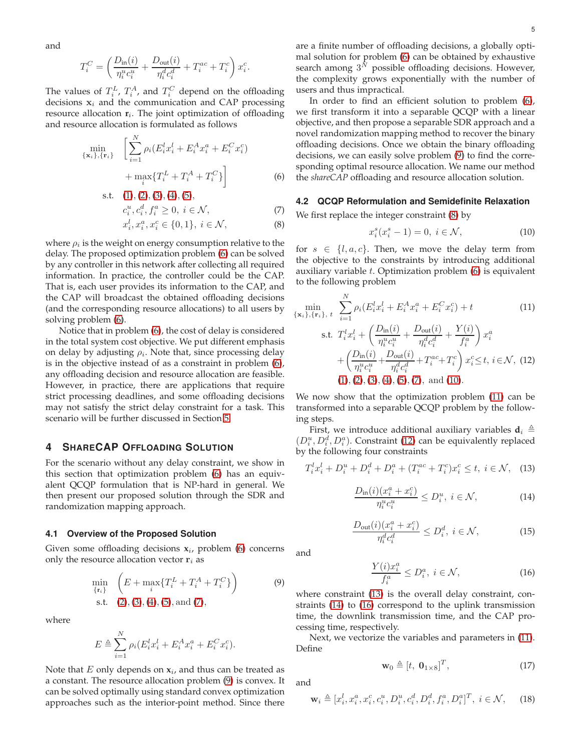and

$$
T_i^C = \left(\frac{D_{\rm in}(i)}{\eta_i^u c_i^u} + \frac{D_{\rm out}(i)}{\eta_i^d c_i^d} + T_i^{ac} + T_i^c\right) x_i^c.
$$

The values of  $T_i^L$ ,  $T_i^A$ , and  $T_i^C$  depend on the offloading decisions  $x_i$  and the communication and CAP processing resource allocation **r**<sup>i</sup> . The joint optimization of offloading and resource allocation is formulated as follows

$$
\min_{\{\mathbf{x}_i\},\{\mathbf{r}_i\}} \quad \left[ \sum_{i=1}^N \rho_i (E_i^l x_i^l + E_i^A x_i^a + E_i^C x_i^c) + \max_i \{ T_i^L + T_i^A + T_i^C \} \right] \tag{6}
$$

s.t. (1), (2), (3), (4), (5),  

$$
e^{u} e^{d} f^{a} > 0 \quad i \in \mathcal{N}
$$

$$
c_i^u, c_i^d, f_i^a \ge 0, \ i \in \mathcal{N},\tag{7}
$$

$$
x_i^l, x_i^a, x_i^c \in \{0, 1\}, \ i \in \mathcal{N}, \tag{8}
$$

where  $\rho_i$  is the weight on energy consumption relative to the delay. The proposed optimization problem [\(6\)](#page-4-1) can be solved by any controller in this network after collecting all required information. In practice, the controller could be the CAP. That is, each user provides its information to the CAP, and the CAP will broadcast the obtained offloading decisions (and the corresponding resource allocations) to all users by solving problem [\(6\)](#page-4-1).

Notice that in problem [\(6\)](#page-4-1), the cost of delay is considered in the total system cost objective. We put different emphasis on delay by adjusting  $\rho_i$ . Note that, since processing delay is in the objective instead of as a constraint in problem [\(6\)](#page-4-1), any offloading decision and resource allocation are feasible. However, in practice, there are applications that require strict processing deadlines, and some offloading decisions may not satisfy the strict delay constraint for a task. This scenario will be further discussed in Section [5.](#page-7-0)

# <span id="page-4-0"></span>**4 SHARECAP OFFLOADING SOLUTION**

For the scenario without any delay constraint, we show in this section that optimization problem [\(6\)](#page-4-1) has an equivalent QCQP formulation that is NP-hard in general. We then present our proposed solution through the SDR and randomization mapping approach.

#### **4.1 Overview of the Proposed Solution**

Given some offloading decisions **x**<sup>i</sup> , problem [\(6\)](#page-4-1) concerns only the resource allocation vector  $r_i$  as

$$
\min_{\{r_i\}} \left( E + \max_i \{ T_i^L + T_i^A + T_i^C \} \right) \tag{9}
$$
\n
$$
\text{s.t.} \quad \text{(2), (3), (4), (5), and (7),}
$$

where

$$
E \triangleq \sum_{i=1}^{N} \rho_i (E_i^l x_i^l + E_i^A x_i^a + E_i^C x_i^c).
$$

Note that  $E$  only depends on  $\mathbf{x}_i$ , and thus can be treated as a constant. The resource allocation problem [\(9\)](#page-4-3) is convex. It can be solved optimally using standard convex optimization approaches such as the interior-point method. Since there

are a finite number of offloading decisions, a globally optimal solution for problem [\(6\)](#page-4-1) can be obtained by exhaustive search among  $3^{\bar N}$  possible offloading decisions. However, the complexity grows exponentially with the number of users and thus impractical.

In order to find an efficient solution to problem [\(6\)](#page-4-1), we first transform it into a separable QCQP with a linear objective, and then propose a separable SDR approach and a novel randomization mapping method to recover the binary offloading decisions. Once we obtain the binary offloading decisions, we can easily solve problem [\(9\)](#page-4-3) to find the corresponding optimal resource allocation. We name our method the *shareCAP* offloading and resource allocation solution.

## <span id="page-4-12"></span><span id="page-4-2"></span><span id="page-4-1"></span>**4.2 QCQP Reformulation and Semidefinite Relaxation**

<span id="page-4-4"></span>We first replace the integer constraint [\(8\)](#page-4-4) by

<span id="page-4-7"></span><span id="page-4-6"></span><span id="page-4-5"></span>
$$
x_i^s (x_i^s - 1) = 0, \ i \in \mathcal{N}, \tag{10}
$$

for  $s \in \{l, a, c\}$ . Then, we move the delay term from the objective to the constraints by introducing additional auxiliary variable  $t$ . Optimization problem  $(6)$  is equivalent to the following problem

$$
\min_{\{\mathbf{x}_{i}\},\{\mathbf{r}_{i}\},t} \sum_{i=1}^{N} \rho_{i}(E_{i}^{l}x_{i}^{l} + E_{i}^{A}x_{i}^{a} + E_{i}^{C}x_{i}^{c}) + t
$$
\n
$$
\text{s.t. } T_{i}^{l}x_{i}^{l} + \left(\frac{D_{\text{in}}(i)}{\eta_{i}^{u}c_{i}^{u}} + \frac{D_{\text{out}}(i)}{\eta_{i}^{d}c_{i}^{d}} + \frac{Y(i)}{f_{i}^{a}}\right)x_{i}^{a}
$$
\n
$$
+ \left(\frac{D_{\text{in}}(i)}{\eta_{i}^{u}c_{i}^{u}} + \frac{D_{\text{out}}(i)}{\eta_{i}^{d}c_{i}^{d}} + T_{i}^{ac} + T_{i}^{c}\right)x_{i}^{c} \leq t, i \in \mathcal{N}, (12)
$$
\n
$$
(1), (2), (3), (4), (5), (7), \text{ and } (10).
$$

We now show that the optimization problem [\(11\)](#page-4-6) can be transformed into a separable QCQP problem by the following steps.

First, we introduce additional auxiliary variables  $\mathbf{d}_i \triangleq$  $(D_i^u, D_i^d, D_i^a)$ . Constraint [\(12\)](#page-4-7) can be equivalently replaced by the following four constraints

$$
T_i^l x_i^l + D_i^u + D_i^d + D_i^a + (T_i^{ac} + T_i^c) x_i^c \le t, \ i \in \mathcal{N}, \tag{13}
$$

<span id="page-4-8"></span>
$$
\frac{D_{\text{in}}(i)(x_i^a + x_i^c)}{\eta_i^u c_i^u} \le D_i^u, \ i \in \mathcal{N},\tag{14}
$$

$$
\frac{D_{\text{out}}(i)(x_i^a + x_i^c)}{\eta_i^d c_i^d} \le D_i^d, \ i \in \mathcal{N},\tag{15}
$$

and

<span id="page-4-10"></span><span id="page-4-9"></span>
$$
\frac{Y(i)x_i^a}{f_i^a} \le D_i^a, \ i \in \mathcal{N},\tag{16}
$$

<span id="page-4-3"></span>where constraint [\(13\)](#page-4-8) is the overall delay constraint, constraints [\(14\)](#page-4-9) to [\(16\)](#page-4-10) correspond to the uplink transmission time, the downlink transmission time, and the CAP processing time, respectively.

Next, we vectorize the variables and parameters in [\(11\)](#page-4-6). Define

<span id="page-4-11"></span>
$$
\mathbf{w}_0 \triangleq [t, \; \mathbf{0}_{1 \times 8}]^T, \tag{17}
$$

and

$$
\mathbf{w}_{i} \triangleq [x_{i}^{l}, x_{i}^{a}, x_{i}^{c}, c_{i}^{u}, D_{i}^{u}, c_{i}^{d}, D_{i}^{d}, f_{i}^{a}, D_{i}^{a}]^{T}, i \in \mathcal{N}, \quad (18)
$$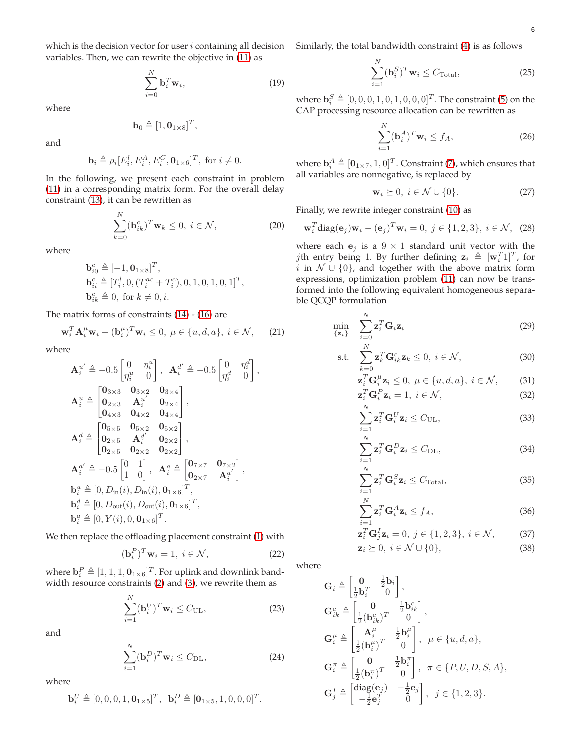which is the decision vector for user  $i$  containing all decision variables. Then, we can rewrite the objective in [\(11\)](#page-4-6) as

$$
\sum_{i=0}^{N} \mathbf{b}_i^T \mathbf{w}_i, \tag{19}
$$

where

$$
\mathbf{b}_0 \triangleq [1, \mathbf{0}_{1 \times 8}]^T,
$$

and

$$
\mathbf{b}_i \triangleq \rho_i [E_i^l, E_i^A, E_i^C, \mathbf{0}_{1 \times 6}]^T, \text{ for } i \neq 0.
$$

In the following, we present each constraint in problem [\(11\)](#page-4-6) in a corresponding matrix form. For the overall delay constraint [\(13\)](#page-4-8), it can be rewritten as

$$
\sum_{k=0}^{N} (\mathbf{b}_{ik}^c)^T \mathbf{w}_k \le 0, \ i \in \mathcal{N}, \tag{20}
$$

where

$$
\begin{aligned} &\mathbf{b}_{i0}^c \triangleq [-1, \mathbf{0}_{1 \times 8}]^T, \\ &\mathbf{b}_{ii}^c \triangleq [T_i^l, 0, (T_i^{ac} + T_i^c), 0, 1, 0, 1, 0, 1]^T, \\ &\mathbf{b}_{ik}^c \triangleq 0, \text{ for } k \neq 0, i. \end{aligned}
$$

The matrix forms of constraints [\(14\)](#page-4-9) - [\(16\)](#page-4-10) are

$$
\mathbf{w}_i^T \mathbf{A}_i^{\mu} \mathbf{w}_i + (\mathbf{b}_i^{\mu})^T \mathbf{w}_i \le 0, \ \mu \in \{u, d, a\}, \ i \in \mathcal{N}, \qquad (21)
$$

where

$$
\mathbf{A}_{i}^{u'} \triangleq -0.5 \begin{bmatrix} 0 & \eta_{i}^{u} \\ \eta_{i}^{u} & 0 \end{bmatrix}, \quad \mathbf{A}_{i}^{d'} \triangleq -0.5 \begin{bmatrix} 0 & \eta_{i}^{d} \\ \eta_{i}^{d} & 0 \end{bmatrix},
$$

$$
\mathbf{A}_{i}^{u} \triangleq \begin{bmatrix} \mathbf{0}_{3 \times 3} & \mathbf{0}_{3 \times 2} & \mathbf{0}_{3 \times 4} \\ \mathbf{0}_{2 \times 3} & \mathbf{A}_{i}^{u'} & \mathbf{0}_{2 \times 4} \\ \mathbf{0}_{4 \times 3} & \mathbf{0}_{4 \times 2} & \mathbf{0}_{4 \times 4} \end{bmatrix},
$$

$$
\mathbf{A}_{i}^{d} \triangleq \begin{bmatrix} \mathbf{0}_{5 \times 5} & \mathbf{0}_{5 \times 2} & \mathbf{0}_{5 \times 2} \\ \mathbf{0}_{2 \times 5} & \mathbf{A}_{i}^{d'} & \mathbf{0}_{2 \times 2} \\ \mathbf{0}_{2 \times 5} & \mathbf{0}_{2 \times 2} & \mathbf{0}_{2 \times 2} \end{bmatrix},
$$

$$
\mathbf{A}_{i}^{a'} \triangleq -0.5 \begin{bmatrix} 0 & 1 \\ 1 & 0 \end{bmatrix}, \quad \mathbf{A}_{i}^{a} \triangleq \begin{bmatrix} \mathbf{0}_{7 \times 7} & \mathbf{0}_{7 \times 2} \\ \mathbf{0}_{2 \times 7} & \mathbf{A}_{i}^{a'} \end{bmatrix},
$$

$$
\mathbf{b}_{i}^{u} \triangleq [0, D_{\text{in}}(i), D_{\text{in}}(i), \mathbf{0}_{1 \times 6}]^{T},
$$

$$
\mathbf{b}_{i}^{a} \triangleq [0, Y(i), 0, \mathbf{0}_{1 \times 6}]^{T}.
$$

We then replace the offloading placement constraint [\(1\)](#page-2-4) with

$$
(\mathbf{b}_i^P)^T \mathbf{w}_i = 1, \ i \in \mathcal{N}, \tag{22}
$$

where  $\mathbf{b}_i^P \triangleq [1, 1, 1, \mathbf{0}_{1 \times 6}]^T$ . For uplink and downlink bandwidth resource constraints [\(2\)](#page-2-5) and [\(3\)](#page-3-1), we rewrite them as

$$
\sum_{i=1}^{N} (\mathbf{b}_i^U)^T \mathbf{w}_i \le C_{\text{UL}},
$$
\n(23)

and

$$
\sum_{i=1}^{N} (\mathbf{b}_i^D)^T \mathbf{w}_i \le C_{\text{DL}},
$$
\n(24)

where

$$
\mathbf{b}_i^U\triangleq[0,0,0,1,\mathbf{0}_{1\times 5}]^T, \ \ \mathbf{b}_i^D\triangleq[\mathbf{0}_{1\times 5},1,0,0,0]^T.
$$

Similarly, the total bandwidth constraint [\(4\)](#page-3-2) is as follows

$$
\sum_{i=1}^{N} (\mathbf{b}_i^S)^T \mathbf{w}_i \le C_{\text{Total}},
$$
\n(25)

where  $\mathbf{b}_i^S \triangleq [0, 0, 0, 1, 0, 1, 0, 0, 0]^T$ . The constraint [\(5\)](#page-3-3) on the CAP processing resource allocation can be rewritten as

$$
\sum_{i=1}^{N} (\mathbf{b}_i^A)^T \mathbf{w}_i \le f_A,
$$
\n(26)

where  $\mathbf{b}_i^A \triangleq [\mathbf{0}_{1 \times 7}, 1, 0]^T$ . Constraint [\(7\)](#page-4-2), which ensures that all variables are nonnegative, is replaced by

$$
\mathbf{w}_i \succeq 0, \ i \in \mathcal{N} \cup \{0\}. \tag{27}
$$

Finally, we rewrite integer constraint [\(10\)](#page-4-5) as

$$
\mathbf{w}_i^T \text{diag}(\mathbf{e}_j) \mathbf{w}_i - (\mathbf{e}_j)^T \mathbf{w}_i = 0, \ j \in \{1, 2, 3\}, \ i \in \mathcal{N}, \tag{28}
$$

where each  $e_j$  is a  $9 \times 1$  standard unit vector with the *j*th entry being 1. By further defining  $\mathbf{z}_i \triangleq [\mathbf{w}_i^T \mathbf{1}]^T$ , for *i* in  $\mathcal{N} \cup \{0\}$ , and together with the above matrix form expressions, optimization problem [\(11\)](#page-4-6) can now be transformed into the following equivalent homogeneous separable QCQP formulation

$$
\min_{\{\mathbf{z}_i\}} \quad \sum_{i=0}^N \mathbf{z}_i^T \mathbf{G}_i \mathbf{z}_i \tag{29}
$$

$$
\text{s.t.} \quad \sum_{k=0}^{N} \mathbf{z}_{k}^{T} \mathbf{G}_{ik}^{c} \mathbf{z}_{k} \leq 0, \ i \in \mathcal{N}, \tag{30}
$$

<span id="page-5-1"></span><span id="page-5-0"></span>
$$
\mathbf{z}_i^T \mathbf{G}_i^{\mu} \mathbf{z}_i \le 0, \ \mu \in \{u, d, a\}, \ i \in \mathcal{N}, \tag{31}
$$
\n
$$
\mathbf{z}_i^T \mathbf{G}_i^P \mathbf{z}_i = 1, \ i \in \mathcal{N}, \tag{32}
$$

<span id="page-5-3"></span><span id="page-5-2"></span>
$$
\mathbf{z}_i^T \mathbf{G}_i^P \mathbf{z}_i = 1, \ i \in \mathcal{N}, \tag{32}
$$

<span id="page-5-4"></span>
$$
\sum_{i=1}^{N} \mathbf{z}_i^T \mathbf{G}_i^U \mathbf{z}_i \le C_{\text{UL}},\tag{33}
$$

<span id="page-5-5"></span>
$$
\sum_{i=1}^{N} \mathbf{z}_i^T \mathbf{G}_i^D \mathbf{z}_i \le C_{\text{DL}},
$$
\n(34)

<span id="page-5-6"></span>
$$
\sum_{i=1}^{N} \mathbf{z}_i^T \mathbf{G}_i^S \mathbf{z}_i \le C_{\text{Total}},\tag{35}
$$

<span id="page-5-7"></span>
$$
\sum_{i=1}^{N} \mathbf{z}_i^T \mathbf{G}_i^A \mathbf{z}_i \le f_A,
$$
\n(36)

$$
\mathbf{z}_i^T \mathbf{G}_j^I \mathbf{z}_i = 0, \ j \in \{1, 2, 3\}, \ i \in \mathcal{N}, \tag{37}
$$

<span id="page-5-9"></span><span id="page-5-8"></span>
$$
\mathbf{z}_i \succeq 0, \ i \in \mathcal{N} \cup \{0\},\tag{38}
$$

where

$$
\begin{aligned} &\mathbf{G}_i \triangleq \begin{bmatrix} \mathbf{0} & \frac{1}{2}\mathbf{b}_i \\ \frac{1}{2}\mathbf{b}_i^T & 0 \end{bmatrix}, \\ &\mathbf{G}_{ik}^c \triangleq \begin{bmatrix} \mathbf{0} & \frac{1}{2}\mathbf{b}_{ik}^c \\ \frac{1}{2}(\mathbf{b}_{ik}^c)^T & 0 \end{bmatrix}, \\ &\mathbf{G}_i^{\mu} \triangleq \begin{bmatrix} \mathbf{A}_i^{\mu} & \frac{1}{2}\mathbf{b}_i^{\mu} \\ \frac{1}{2}(\mathbf{b}_i^{\mu})^T & 0 \end{bmatrix}, \ \ \mu \in \{u, d, a\}, \\ &\mathbf{G}_i^{\pi} \triangleq \begin{bmatrix} \mathbf{0} & \frac{1}{2}\mathbf{b}_i^{\pi} \\ \frac{1}{2}(\mathbf{b}_i^{\pi})^T & 0 \end{bmatrix}, \ \ \pi \in \{P, U, D, S, A\}, \\ &\mathbf{G}_j^I \triangleq \begin{bmatrix} \text{diag}(\mathbf{e}_j) & -\frac{1}{2}\mathbf{e}_j \\ -\frac{1}{2}\mathbf{e}_j^T & 0 \end{bmatrix}, \ j \in \{1, 2, 3\}. \end{aligned}
$$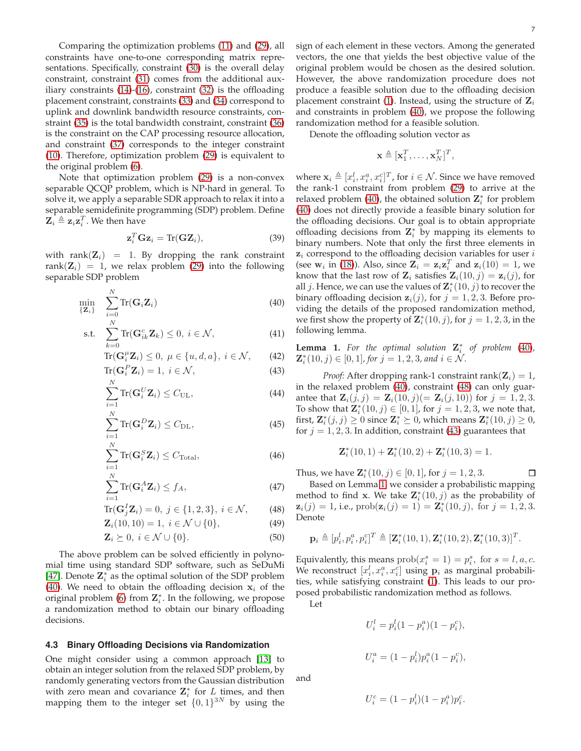Comparing the optimization problems [\(11\)](#page-4-6) and [\(29\)](#page-5-0), all constraints have one-to-one corresponding matrix representations. Specifically, constraint [\(30\)](#page-5-1) is the overall delay constraint, constraint [\(31\)](#page-5-2) comes from the additional auxiliary constraints [\(14\)](#page-4-9)-[\(16\)](#page-4-10), constraint [\(32\)](#page-5-3) is the offloading placement constraint, constraints [\(33\)](#page-5-4) and [\(34\)](#page-5-5) correspond to uplink and downlink bandwidth resource constraints, constraint [\(35\)](#page-5-6) is the total bandwidth constraint, constraint [\(36\)](#page-5-7) is the constraint on the CAP processing resource allocation, and constraint [\(37\)](#page-5-8) corresponds to the integer constraint [\(10\)](#page-4-5). Therefore, optimization problem [\(29\)](#page-5-0) is equivalent to the original problem [\(6\)](#page-4-1).

Note that optimization problem [\(29\)](#page-5-0) is a non-convex separable QCQP problem, which is NP-hard in general. To solve it, we apply a separable SDR approach to relax it into a separable semidefinite programming (SDP) problem. Define  $\mathbf{Z}_i \triangleq \mathbf{z}_i \mathbf{z}_i^T$ . We then have

$$
\mathbf{z}_i^T \mathbf{G} \mathbf{z}_i = \text{Tr}(\mathbf{G} \mathbf{Z}_i), \tag{39}
$$

with rank $(Z_i)$  = 1. By dropping the rank constraint rank( $\mathbf{Z}_i$ ) = 1, we relax problem [\(29\)](#page-5-0) into the following separable SDP problem

$$
\min_{\{\mathbf{Z}_i\}} \quad \sum_{i=0}^N \text{Tr}(\mathbf{G}_i \mathbf{Z}_i) \tag{40}
$$

$$
\text{s.t.} \quad \sum_{k=0}^{N} \text{Tr}(\mathbf{G}_{ik}^{c} \mathbf{Z}_{k}) \leq 0, \ i \in \mathcal{N}, \tag{41}
$$

$$
\operatorname{Tr}(\mathbf{G}_i^{\mu} \mathbf{Z}_i) \le 0, \ \mu \in \{u, d, a\}, \ i \in \mathcal{N}, \qquad (42)
$$

$$
\operatorname{Tr}(\mathbf{G}_i^P \mathbf{Z}_i) = 1, \ i \in \mathcal{N}, \tag{43}
$$

$$
\sum_{i=1}^{N} \text{Tr}(\mathbf{G}_i^U \mathbf{Z}_i) \le C_{\text{UL}},
$$
\n(44)

$$
\sum_{i=1}^{N} \text{Tr}(\mathbf{G}_i^D \mathbf{Z}_i) \le C_{\text{DL}},
$$
\n(45)

$$
\sum_{i=1}^{N} \text{Tr}(\mathbf{G}_i^S \mathbf{Z}_i) \le C_{\text{Total}},\tag{46}
$$

$$
\sum_{i=1}^{N} \text{Tr}(\mathbf{G}_i^A \mathbf{Z}_i) \le f_A,\tag{47}
$$

$$
\text{Tr}(\mathbf{G}_{j}^{I}\mathbf{Z}_{i}) = 0, \ j \in \{1, 2, 3\}, \ i \in \mathcal{N}, \qquad (48)
$$

$$
\mathbf{Z}_{i}(10,10) = 1, \ i \in \mathcal{N} \cup \{0\},\tag{49}
$$

$$
\mathbf{Z}_i \succeq 0, \ i \in \mathcal{N} \cup \{0\}. \tag{50}
$$

The above problem can be solved efficiently in polynomial time using standard SDP software, such as SeDuMi [\[47\]](#page-13-17). Denote  $\mathbf{Z}_{i}^{*}$  as the optimal solution of the SDP problem [\(40\)](#page-6-0). We need to obtain the offloading decision  $x_i$  of the original problem [\(6\)](#page-4-1) from  $\mathbf{Z}_{i}^{*}$ . In the following, we propose a randomization method to obtain our binary offloading decisions.

#### <span id="page-6-7"></span>**4.3 Binary Offloading Decisions via Randomization**

One might consider using a common approach [\[13\]](#page-12-12) to obtain an integer solution from the relaxed SDP problem, by randomly generating vectors from the Gaussian distribution with zero mean and covariance  $\mathbf{Z}_{i}^{*}$  for  $L$  times, and then mapping them to the integer set  $\{0,1\}^{3N}$  by using the

sign of each element in these vectors. Among the generated vectors, the one that yields the best objective value of the original problem would be chosen as the desired solution. However, the above randomization procedure does not produce a feasible solution due to the offloading decision placement constraint [\(1\)](#page-2-4). Instead, using the structure of  $\mathbf{Z}_i$ and constraints in problem [\(40\)](#page-6-0), we propose the following randomization method for a feasible solution.

Denote the offloading solution vector as

$$
\mathbf{x} \triangleq [\mathbf{x}_1^T, \dots, \mathbf{x}_N^T]^T,
$$

<span id="page-6-4"></span>where  $\mathbf{x}_i \triangleq [x_i^l, x_i^a, x_i^c]^T$ , for  $i \in \mathcal{N}$ . Since we have removed the rank-1 constraint from problem [\(29\)](#page-5-0) to arrive at the relaxed problem [\(40\)](#page-6-0), the obtained solution  $\mathbf{Z}_{i}^{*}$  for problem [\(40\)](#page-6-0) does not directly provide a feasible binary solution for the offloading decisions. Our goal is to obtain appropriate offloading decisions from  $\mathbf{Z}_{i}^{*}$  by mapping its elements to binary numbers. Note that only the first three elements in  $z_i$  correspond to the offloading decision variables for user  $i$ (see  $\mathbf{w}_i$  in [\(18\)](#page-4-11)). Also, since  $\mathbf{Z}_i = \mathbf{z}_i \mathbf{z}_i^T$  and  $\mathbf{z}_i(10) = 1$ , we know that the last row of  $\mathbf{Z}_i$  satisfies  $\mathbf{Z}_i(10,j) = \mathbf{z}_i(j)$ , for all  $j$ . Hence, we can use the values of  $\mathbf{Z}_{i}^{*}(10,j)$  to recover the binary offloading decision  $z_i(j)$ , for  $j = 1, 2, 3$ . Before providing the details of the proposed randomization method, we first show the property of  $\mathbf{Z}_{i}^{*}(10,j)$ , for  $j=1,2,3$ , in the following lemma.

<span id="page-6-5"></span><span id="page-6-3"></span><span id="page-6-0"></span>**Lemma 1.** For the optimal solution  $\mathbf{Z}_i^*$  of problem [\(40\)](#page-6-0),  $\mathbf{Z}_{i}^{*}(10,j) \in [0,1]$ , for  $j = 1, 2, 3$ , and  $i \in \mathcal{N}$ .

<span id="page-6-2"></span>*Proof:* After dropping rank-1 constraint rank( $\mathbf{Z}_i$ ) = 1, in the relaxed problem [\(40\)](#page-6-0), constraint [\(48\)](#page-6-1) can only guarantee that  $\mathbf{Z}_i(j, j) = \mathbf{Z}_i(10, j) (= \mathbf{Z}_i(j, 10))$  for  $j = 1, 2, 3$ . To show that  $\mathbf{Z}_{i}^{*}(10, j) \in [0, 1]$ , for  $j = 1, 2, 3$ , we note that, first,  $\mathbf{Z}_{i}^{*}(j, j) \geq 0$  since  $\mathbf{Z}_{i}^{*} \succeq 0$ , which means  $\mathbf{Z}_{i}^{*}(10, j) \geq 0$ , for  $j = 1, 2, 3$ . In addition, constraint [\(43\)](#page-6-2) guarantees that

$$
\mathbf{Z}_{i}^{*}(10,1)+\mathbf{Z}_{i}^{*}(10,2)+\mathbf{Z}_{i}^{*}(10,3)=1.
$$

Thus, we have  $\mathbf{Z}_{i}^{*}(10,j) \in [0,1]$ , for  $j = 1,2,3$ .  $\Box$ 

<span id="page-6-1"></span>Based on Lemma [1,](#page-6-3) we consider a probabilistic mapping method to find x. We take  $\mathbf{Z}_{i}^{*}(10,j)$  as the probability of  $\mathbf{z}_i(j) = 1$ , i.e.,  $prob(\mathbf{z}_i(j) = 1) = \mathbf{Z}_i^*(10, j)$ , for  $j = 1, 2, 3$ . Denote

$$
\mathbf{p}_i \triangleq [p_i^l, p_i^a, p_i^c]^T \triangleq [\mathbf{Z}_i^*(10, 1), \mathbf{Z}_i^*(10, 2), \mathbf{Z}_i^*(10, 3)]^T.
$$

<span id="page-6-6"></span>Equivalently, this means  $prob(x_i^s = 1) = p_i^s$ , for  $s = l, a, c$ . We reconstruct  $[x_i^l, x_i^a, x_i^c]$  using  $\mathbf{p}_i$  as marginal probabilities, while satisfying constraint [\(1\)](#page-2-4). This leads to our proposed probabilistic randomization method as follows.

Let

$$
U_i^l = p_i^l (1 - p_i^a)(1 - p_i^c),
$$
  

$$
U_i^a = (1 - p_i^l) p_i^a (1 - p_i^c),
$$

and

$$
U_i^c = (1 - p_i^l)(1 - p_i^a)p_i^c
$$

.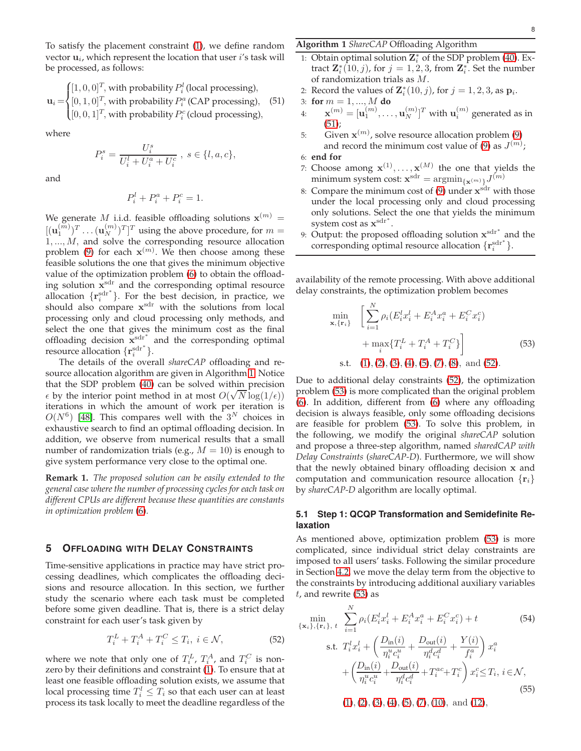To satisfy the placement constraint [\(1\)](#page-2-4), we define random vector  $\mathbf{u}_i$ , which represent the location that user i's task will be processed, as follows:

<span id="page-7-2"></span>
$$
\mathbf{u}_{i} = \begin{cases} [1, 0, 0]^{T}, \text{ with probability } P_{i}^{l} \text{ (local processing)}, \\ [0, 1, 0]^{T}, \text{ with probability } P_{i}^{a} \text{ (CAP processing)}, \\ [0, 0, 1]^{T}, \text{ with probability } P_{i}^{c} \text{ (cloud processing)}, \end{cases}
$$
 (51)

where

$$
P_i^s = \frac{U_i^s}{U_i^l + U_i^a + U_i^c} \;,\; s \in \{l,a,c\},
$$

and

$$
P_i^l + P_i^a + P_i^c = 1.
$$

We generate  $M$  i.i.d. feasible offloading solutions  $\mathbf{x}^{(m)}$  =  $[(\mathbf{u}_1^{(\bar{m})})^T \dots (\mathbf{u}_N^{(m)})^T]^T$  using the above procedure, for  $m=$  $1, \ldots, M$ , and solve the corresponding resource allocation problem [\(9\)](#page-4-3) for each  $\mathbf{x}^{(m)}$ . We then choose among these feasible solutions the one that gives the minimum objective value of the optimization problem [\(6\)](#page-4-1) to obtain the offloading solution  $\mathbf{x}^{\text{sdr}}$  and the corresponding optimal resource allocation  $\{r_i^{sdr^*}\}$ . For the best decision, in practice, we should also compare  $x<sup>sdr</sup>$  with the solutions from local processing only and cloud processing only methods, and select the one that gives the minimum cost as the final offloading decision  $x^{sdr^*}$  and the corresponding optimal resource allocation  $\{ \mathbf{r}_i^{\text{sdr}*} \}$ .

The details of the overall *shareCAP* offloading and resource allocation algorithm are given in Algorithm [1.](#page-7-1) Notice that the SDP problem [\(40\)](#page-6-0) can be solved within precision  $\epsilon$  by the interior point method in at most  $O(\sqrt{N}\log(1/\epsilon))$ iterations in which the amount of work per iteration is  $O(N^6)$  [\[48\]](#page-13-18). This compares well with the  $3^N$  choices in exhaustive search to find an optimal offloading decision. In addition, we observe from numerical results that a small number of randomization trials (e.g.,  $M = 10$ ) is enough to give system performance very close to the optimal one.

**Remark 1.** *The proposed solution can be easily extended to the general case where the number of processing cycles for each task on different CPUs are different because these quantities are constants in optimization problem* [\(6\)](#page-4-1)*.*

# <span id="page-7-0"></span>**5 OFFLOADING WITH DELAY CONSTRAINTS**

Time-sensitive applications in practice may have strict processing deadlines, which complicates the offloading decisions and resource allocation. In this section, we further study the scenario where each task must be completed before some given deadline. That is, there is a strict delay constraint for each user's task given by

<span id="page-7-3"></span>
$$
T_i^L + T_i^A + T_i^C \le T_i, \ i \in \mathcal{N},\tag{52}
$$

where we note that only one of  $T_i^L$ ,  $T_i^A$ , and  $T_i^C$  is nonzero by their definitions and constraint [\(1\)](#page-2-4). To ensure that at least one feasible offloading solution exists, we assume that local processing time  $T_i^l \leq T_i$  so that each user can at least process its task locally to meet the deadline regardless of the

<span id="page-7-1"></span>**Algorithm 1** *ShareCAP* Offloading Algorithm

- 1: Obtain optimal solution  $\mathbf{Z}_{i}^{*}$  of the SDP problem [\(40\)](#page-6-0). Extract  $\mathbf{Z}_{i}^{*}(10,j)$ , for  $j=1,2,3$ , from  $\mathbf{Z}_{i}^{*}$ . Set the number of randomization trials as M.
- 2: Record the values of  $\mathbf{Z}_{i}^{*}(10,j)$ , for  $j = 1, 2, 3$ , as  $\mathbf{p}_{i}$ .

3: for 
$$
m = 1, ..., M
$$
 do

- 4:  $\mathbf{x}^{(m)} = [\mathbf{u}_{1}^{(m)},\ldots,\mathbf{u}_{N}^{(m)}]^T$  with  $\mathbf{u}_{i}^{(m)}$  generated as in [\(51\)](#page-7-2);
- 5: Given  $\mathbf{x}^{(m)}$ , solve resource allocation problem [\(9\)](#page-4-3) and record the minimum cost value of [\(9\)](#page-4-3) as  $J^{(m)}$ ;

6: **end for**

- 7: Choose among  $\mathbf{x}^{(1)}, \ldots, \mathbf{x}^{(M)}$  the one that yields the minimum system cost:  $\mathbf{x}^{\text{sdr}} = \mathop{\mathrm{argmin}}_{\{\mathbf{x}^{(m)}\}} J^{(m)}$
- 8: Compare the minimum cost of  $(9)$  under  $\mathbf{x}^{\text{sdr}}$  with those under the local processing only and cloud processing only solutions. Select the one that yields the minimum system cost as  $\mathbf{x}^{\text{sdr}^*}$ .
- 9: Output: the proposed offloading solution  $\mathbf{x}^{\text{sdr}^*}$  and the corresponding optimal resource allocation  $\{ \mathbf{r}_i^{\text{sdr}*} \}$ .

availability of the remote processing. With above additional delay constraints, the optimization problem becomes

<span id="page-7-4"></span>
$$
\min_{\mathbf{x}, \{\mathbf{r}_i\}} \quad \left[ \sum_{i=1}^N \rho_i (E_i^l x_i^l + E_i^A x_i^a + E_i^C x_i^c) + \max_i \{ T_i^L + T_i^A + T_i^C \} \right] + \max_i \{ T_i^L + T_i^A + T_i^C \} \quad (53)
$$
\n
$$
\text{s.t.} \quad (1), (2), (3), (4), (5), (7), (8), \text{ and } (52).
$$

Due to additional delay constraints [\(52\)](#page-7-3), the optimization problem [\(53\)](#page-7-4) is more complicated than the original problem [\(6\)](#page-4-1). In addition, different from [\(6\)](#page-4-1) where any offloading decision is always feasible, only some offloading decisions are feasible for problem [\(53\)](#page-7-4). To solve this problem, in the following, we modify the original *shareCAP* solution and propose a three-step algorithm, named *sharedCAP with Delay Constraints* (*shareCAP-D*). Furthermore, we will show that the newly obtained binary offloading decision x and computation and communication resource allocation  $\{r_i\}$ by *shareCAP-D* algorithm are locally optimal.

# **5.1 Step 1: QCQP Transformation and Semidefinite Relaxation**

As mentioned above, optimization problem [\(53\)](#page-7-4) is more complicated, since individual strict delay constraints are imposed to all users' tasks. Following the similar procedure in Section [4.2,](#page-4-12) we move the delay term from the objective to the constraints by introducing additional auxiliary variables  $t$ , and rewrite  $(53)$  as

$$
\min_{\{\mathbf{x}_{i}\},\{\mathbf{r}_{i}\},t} \sum_{i=1}^{N} \rho_{i}(E_{i}^{l}x_{i}^{l} + E_{i}^{A}x_{i}^{a} + E_{i}^{C}x_{i}^{c}) + t
$$
(54)  
s.t.  $T_{i}^{l}x_{i}^{l} + \left(\frac{D_{\text{in}}(i)}{\eta_{i}^{u}c_{i}^{u}} + \frac{D_{\text{out}}(i)}{\eta_{i}^{d}c_{i}^{d}} + \frac{Y(i)}{f_{i}^{a}}\right)x_{i}^{a}$ 
$$
+ \left(\frac{D_{\text{in}}(i)}{\eta_{i}^{u}c_{i}^{u}} + \frac{D_{\text{out}}(i)}{\eta_{i}^{d}c_{i}^{d}} + T_{i}^{ac} + T_{i}^{c}\right)x_{i}^{c} \leq T_{i}, i \in \mathcal{N},
$$
(55)

<span id="page-7-6"></span><span id="page-7-5"></span>
$$
(1), (2), (3), (4), (5), (7), (10), \text{ and } (12),
$$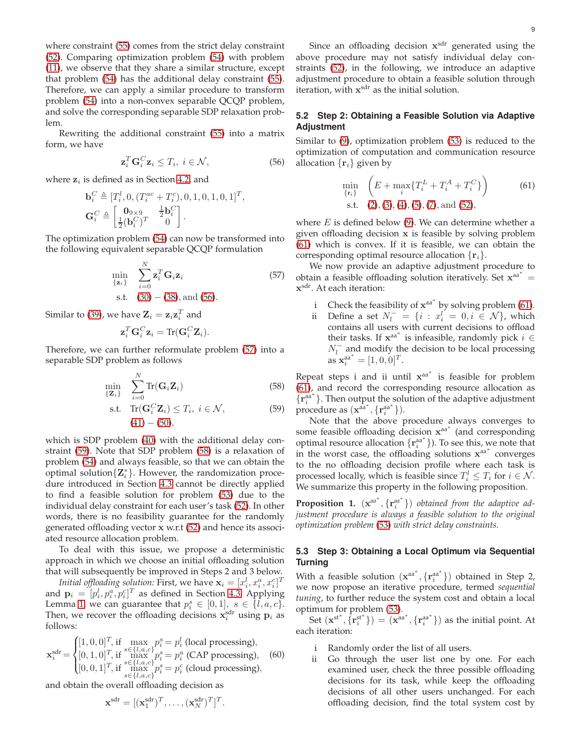where constraint [\(55\)](#page-7-5) comes from the strict delay constraint [\(52\)](#page-7-3). Comparing optimization problem [\(54\)](#page-7-6) with problem [\(11\)](#page-4-6), we observe that they share a similar structure, except that problem [\(54\)](#page-7-6) has the additional delay constraint [\(55\)](#page-7-5). Therefore, we can apply a similar procedure to transform problem [\(54\)](#page-7-6) into a non-convex separable QCQP problem, and solve the corresponding separable SDP relaxation problem.

Rewriting the additional constraint [\(55\)](#page-7-5) into a matrix form, we have

$$
\mathbf{z}_i^T \mathbf{G}_i^C \mathbf{z}_i \le T_i, \ i \in \mathcal{N}, \tag{56}
$$

where  $z_i$  is defined as in Section [4.2,](#page-4-12) and

$$
\begin{aligned} \mathbf{b}_i^C &\triangleq \big[T_i^l, 0, \big(T_i^{ac} + T_i^c\big), 0, 1, 0, 1, 0, 1\big]^T, \\ \mathbf{G}_i^C &\triangleq \begin{bmatrix} \mathbf{0}_{9 \times 9} & \frac{1}{2} \mathbf{b}_i^C \\ \frac{1}{2} (\mathbf{b}_i^C)^T & 0 \end{bmatrix}. \end{aligned}
$$

The optimization problem [\(54\)](#page-7-6) can now be transformed into the following equivalent separable QCQP formulation

$$
\min_{\{\mathbf{z}_i\}} \sum_{i=0}^N \mathbf{z}_i^T \mathbf{G}_i \mathbf{z}_i
$$
\n
$$
\text{s.t.} \quad (30) - (38), \text{ and } (56).
$$
\n
$$
(57)
$$

Similar to [\(39\)](#page-6-4), we have  $\mathbf{Z}_i = \mathbf{z}_i \mathbf{z}_i^T$  and

$$
\mathbf{z}_i^T \mathbf{G}_i^C \mathbf{z}_i = \text{Tr}(\mathbf{G}_i^C \mathbf{Z}_i).
$$

Therefore, we can further reformulate problem [\(57\)](#page-8-1) into a separable SDP problem as follows

$$
\min_{\{\mathbf{Z}_i\}} \quad \sum_{i=0}^N \text{Tr}(\mathbf{G}_i \mathbf{Z}_i) \tag{58}
$$

s.t. 
$$
\text{Tr}(\mathbf{G}_i^C \mathbf{Z}_i) \leq T_i, \ i \in \mathcal{N},
$$
\n
$$
(41) - (50),
$$
\n
$$
(59)
$$

which is SDP problem [\(40\)](#page-6-0) with the additional delay constraint [\(59\)](#page-8-2). Note that SDP problem [\(58\)](#page-8-3) is a relaxation of problem [\(54\)](#page-7-6) and always feasible, so that we can obtain the optimal solution $\{ \mathbf Z_i^* \}$ . However, the randomization procedure introduced in Section [4.3](#page-6-7) cannot be directly applied to find a feasible solution for problem [\(53\)](#page-7-4) due to the individual delay constraint for each user's task [\(52\)](#page-7-3). In other words, there is no feasibility guarantee for the randomly generated offloading vector x w.r.t [\(52\)](#page-7-3) and hence its associated resource allocation problem.

To deal with this issue, we propose a deterministic approach in which we choose an initial offloading solution that will subsequently be improved in Steps 2 and 3 below.

*Initial offloading solution:* First, we have  $\mathbf{x}_i = [x_i^l, x_i^a, x_i^c]^T$ and  $\mathbf{p}_i = [p_i^l, p_i^a, p_i^c]^T$  as defined in Section [4.3.](#page-6-7) Applying Lemma [1,](#page-6-3) we can guarantee that  $p_i^s \in [0,1], s \in \{l,a,c\}.$ Then, we recover the offloading decisions  $\mathbf{x}^{\text{sdr}}_i$  using  $\mathbf{p}_i$  as follows:

<span id="page-8-5"></span>
$$
\mathbf{x}_{i}^{\text{sdr}} = \begin{cases} [1, 0, 0]^T, \text{ if } \max_{s \in \{l, a, c\}} p_i^s = p_i^l \text{ (local processing)},\\ [0, 1, 0]^T, \text{ if } \max_{s \in \{l, a, c\}} p_i^s = p_i^a \text{ (CAP processing)},\\ [0, 0, 1]^T, \text{ if } \max_{s \in \{l, a, c\}} p_i^s = p_i^c \text{ (cloud processing)}, \end{cases}
$$
(60)

and obtain the overall offloading decision as

$$
\mathbf{x}^{\text{sdr}} = [(\mathbf{x}_1^{\text{sdr}})^T, \dots, (\mathbf{x}_N^{\text{sdr}})^T]^T.
$$

Since an offloading decision  $x<sup>sdr</sup>$  generated using the above procedure may not satisfy individual delay constraints [\(52\)](#page-7-3), in the following, we introduce an adaptive adjustment procedure to obtain a feasible solution through iteration, with  $x<sup>sdr</sup>$  as the initial solution.

# **5.2 Step 2: Obtaining a Feasible Solution via Adaptive Adjustment**

<span id="page-8-0"></span>Similar to [\(9\)](#page-4-3), optimization problem [\(53\)](#page-7-4) is reduced to the optimization of computation and communication resource allocation  $\{r_i\}$  given by

<span id="page-8-4"></span>
$$
\min_{\{r_i\}} \left( E + \max_i \{ T_i^L + T_i^A + T_i^C \} \right) \tag{61}
$$
\n
$$
\text{s.t.} \quad (2), (3), (4), (5), (7), \text{ and } (52),
$$

where  $E$  is defined below [\(9\)](#page-4-3). We can determine whether a given offloading decision x is feasible by solving problem [\(61\)](#page-8-4) which is convex. If it is feasible, we can obtain the corresponding optimal resource allocation  $\{r_i\}$ .

<span id="page-8-1"></span>We now provide an adaptive adjustment procedure to obtain a feasible offloading solution iteratively. Set  $\mathbf{x}^{aa^*}$  = x<sup>sdr</sup>. At each iteration:

- i Check the feasibility of  $x^{aa^*}$  by solving problem [\(61\)](#page-8-4).
- ii Define a set  $N_l^- = \{i : x_i^l = 0, i \in \mathcal{N}\}\)$ , which contains all users with current decisions to offload their tasks. If  $x^{aa^*}$  is infeasible, randomly pick  $i \in$  $N_l^-$  and modify the decision to be local processing  $\mathbf{a} \mathbf{s}^{\mathbf{a}} \mathbf{x}_{i}^{\mathbf{a} \mathbf{a}^{*}} = [1, 0, 0]^{T}.$

<span id="page-8-3"></span>Repeat steps i and ii until  $x^{aa^*}$  is feasible for problem [\(61\)](#page-8-4), and record the corresponding resource allocation as  ${r_i^{aa}}^*$ . Then output the solution of the adaptive adjustment procedure as  $(\mathbf{x}^{aa^*}, {\{\mathbf{r}_i^{aa^*}\}}).$ 

<span id="page-8-2"></span>Note that the above procedure always converges to some feasible offloading decision  $x^{aa^*}$  (and corresponding optimal resource allocation  $\{r_i^{aa^*}\}\)$ . To see this, we note that in the worst case, the offloading solutions  $x^{aa^*}$  converges to the no offloading decision profile where each task is processed locally, which is feasible since  $T_i^l \leq T_i$  for  $i \in \mathcal{N}$ . We summarize this property in the following proposition.

**Proposition 1.**  $(\mathbf{x}^{aa^*}, {\mathbf{r}_i^{aa^*}})$  *obtained from the adaptive adjustment procedure is always a feasible solution to the original optimization problem* [\(53\)](#page-7-4) *with strict delay constraints.*

# **5.3 Step 3: Obtaining a Local Optimum via Sequential Turning**

With a feasible solution  $(x^{aa^*}, \{r_i^{aa^*}\})$  obtained in Step 2, we now propose an iterative procedure, termed *sequential tuning*, to further reduce the system cost and obtain a local optimum for problem [\(53\)](#page-7-4).

Set  $(\mathbf{x}^{\mathrm{st}^*}, {\mathbf{r}^{\mathrm{st}^*}}) = (\mathbf{x}^{\mathrm{aa}^*}, {\mathbf{r}^{\mathrm{aa}^*}})$  as the initial point. At each iteration:

- i Randomly order the list of all users.
- ii Go through the user list one by one. For each examined user, check the three possible offloading decisions for its task, while keep the offloading decisions of all other users unchanged. For each offloading decision, find the total system cost by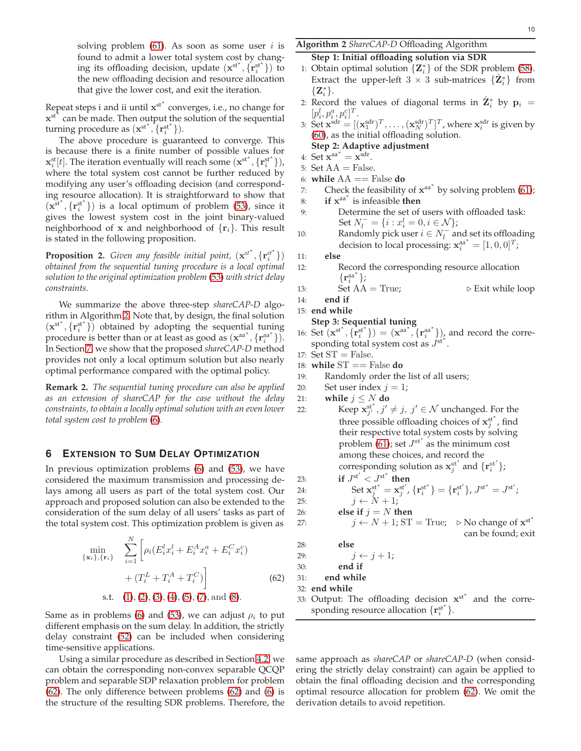solving problem [\(61\)](#page-8-4). As soon as some user  $i$  is found to admit a lower total system cost by changing its offloading decision, update  $(x^{st^*}, \{r_i^{st^*}\})$  to the new offloading decision and resource allocation that give the lower cost, and exit the iteration.

Repeat steps i and ii until  $x^{st^*}$  converges, i.e., no change for x<sup>st\*</sup> can be made. Then output the solution of the sequential turning procedure as  $(x^{st^*}, \{r_i^{st^*}\})$ .

The above procedure is guaranteed to converge. This is because there is a finite number of possible values for  $\mathbf{x}_i^{\text{st}}[t]$ . The iteration eventually will reach some  $(\mathbf{x}^{\text{st}^*}, {\{\mathbf{r}_i^{\text{st}^*}\}})$ , where the total system cost cannot be further reduced by modifying any user's offloading decision (and corresponding resource allocation). It is straightforward to show that  $(x^{st*}, {r_i^{st*}})$  is a local optimum of problem [\(53\)](#page-7-4), since it gives the lowest system cost in the joint binary-valued neighborhood of x and neighborhood of  $\{r_i\}$ . This result is stated in the following proposition.

**Proposition 2.** *Given any feasible initial point,*  $(\mathbf{x}^{st^*}, {\mathbf{r}^{st^*}})$ *obtained from the sequential tuning procedure is a local optimal solution to the original optimization problem* [\(53\)](#page-7-4) *with strict delay constraints.*

We summarize the above three-step *shareCAP-D* algorithm in Algorithm [2.](#page-9-1) Note that, by design, the final solution  $(x^{st^*}, \{r_i^{st^*}\})$  obtained by adopting the sequential tuning procedure is better than or at least as good as  $(x^{aa^*}, \{r_i^{aa^*}\})$ . In Section [7,](#page-10-0) we show that the proposed *shareCAP-D* method provides not only a local optimum solution but also nearly optimal performance compared with the optimal policy.

**Remark 2.** *The sequential tuning procedure can also be applied as an extension of shareCAP for the case without the delay constraints, to obtain a locally optimal solution with an even lower total system cost to problem* [\(6\)](#page-4-1)*.*

# <span id="page-9-0"></span>**6 EXTENSION TO SUM DELAY OPTIMIZATION**

In previous optimization problems [\(6\)](#page-4-1) and [\(53\)](#page-7-4), we have considered the maximum transmission and processing delays among all users as part of the total system cost. Our approach and proposed solution can also be extended to the consideration of the sum delay of all users' tasks as part of the total system cost. This optimization problem is given as

$$
\min_{\{\mathbf{x}_i\},\{\mathbf{r}_i\}} \quad \sum_{i=1}^N \left[ \rho_i (E_i^l x_i^l + E_i^A x_i^a + E_i^C x_i^c) + (T_i^L + T_i^A + T_i^C) \right] \tag{62}
$$

s.t.  $(1), (2), (3), (4), (5), (7), \text{and } (8).$  $(1), (2), (3), (4), (5), (7), \text{and } (8).$  $(1), (2), (3), (4), (5), (7), \text{and } (8).$  $(1), (2), (3), (4), (5), (7), \text{and } (8).$  $(1), (2), (3), (4), (5), (7), \text{and } (8).$  $(1), (2), (3), (4), (5), (7), \text{and } (8).$  $(1), (2), (3), (4), (5), (7), \text{and } (8).$  $(1), (2), (3), (4), (5), (7), \text{and } (8).$  $(1), (2), (3), (4), (5), (7), \text{and } (8).$  $(1), (2), (3), (4), (5), (7), \text{and } (8).$  $(1), (2), (3), (4), (5), (7), \text{and } (8).$  $(1), (2), (3), (4), (5), (7), \text{and } (8).$  $(1), (2), (3), (4), (5), (7), \text{and } (8).$  $(1), (2), (3), (4), (5), (7), \text{and } (8).$ 

Same as in problems [\(6\)](#page-4-1) and [\(53\)](#page-7-4), we can adjust  $\rho_i$  to put different emphasis on the sum delay. In addition, the strictly delay constraint [\(52\)](#page-7-3) can be included when considering time-sensitive applications.

Using a similar procedure as described in Section [4.2,](#page-4-12) we can obtain the corresponding non-convex separable QCQP problem and separable SDP relaxation problem for problem [\(62\)](#page-9-2). The only difference between problems [\(62\)](#page-9-2) and [\(6\)](#page-4-1) is the structure of the resulting SDR problems. Therefore, the <span id="page-9-1"></span>**Step 1: Initial offloading solution via SDR**

- 1: Obtain optimal solution  $\{Z_i^*\}$  of the SDR problem [\(58\)](#page-8-3). Extract the upper-left  $3 \times 3$  sub-matrices  $\{\hat{\mathbf{Z}}_i^*\}$  from  $\{ \mathbf Z_i^* \}.$
- 2: Record the values of diagonal terms in  $\hat{\mathbf{Z}}_i^*$  by  $\mathbf{p}_i =$  $[p_i^l, p_i^a, p_i^c]^T$ .
- 3: Set  $\mathbf{x}^{\text{sdr}} = [(\mathbf{x}^{\text{sdr}}_{1})^{T}, \dots, (\mathbf{x}^{\text{sdr}}_{N})^{T}]^{T}$ , where  $\mathbf{x}^{\text{sdr}}_{i}$  is given by [\(60\)](#page-8-5), as the initial offloading solution. **Step 2: Adaptive adjustment**
- 4: Set  $\mathbf{x}^{aa^*} = \mathbf{x}^{sdr}$ .
- 5:  $Set AA = False.$
- 6: **while** AA == False **do**
- $7:$  Check the feasibility of  $x^{aa^*}$  by solving problem [\(61\)](#page-8-4);
- 8: **if** x aa<sup>∗</sup> is infeasible **then**
- 9: Determine the set of users with offloaded task: Set  $N_l^- = \{i : x_i^l = 0, i \in \mathcal{N}\};$
- 10: Randomly pick user  $i \in N_l^-$  and set its offloading decision to local processing:  $\mathbf{x}_i^{\text{aa}^*} = [1, 0, 0]^T$ ;
- 11: **else**
- 12: Record the corresponding resource allocation  $\{ {\bf r}_i^{\rm aa^*} \};$
- 13: Set  $AA = True;$   $\triangleright$  Exit while loop
- 14: **end if**

15: **end while**

**Step 3: Sequential tuning**

- 16: Set  $(\mathbf{x}^{\text{st}^*}, {\mathbf{r}^{\text{st}^*}}_i) = (\mathbf{x}^{\text{aa}^*}, {\mathbf{r}^{\text{aa}^*}}_i)$ , and record the corresponding total system cost as  $J^{st^*}$ .
- 17:  $Set ST = False$ .
- 18: **while** ST == False **do**
- 19: Randomly order the list of all users;
- 20: Set user index  $j = 1$ ;
- 21: **while**  $j \leq N$  **do**<br>22: **Keep**  $\mathbf{x}_{i'}^{st^*}, j'$
- 22: Keep  $\mathbf{x}_{j'}^{\text{st}^*}$ ,  $j' \neq j$ ,  $j' \in \mathcal{N}$  unchanged. For the three possible offloading choices of  $x_j^{st}$ , find their respective total system costs by solving problem [\(61\)](#page-8-4); set  $J^{\text{st}'}$  as the minimum cost among these choices, and record the corresponding solution as  $x_j^{st'}$  and  $\{r_i^{st'}\}$ ; 23: **if**  $J^{\text{st}'} < J^{\text{st}^*}$  then 24: Set  $x_{j}^{st^*} = x_j^{st'}$ ,  $\{r_i^{st^*}\} = \{r_i^{st'}\}$ ,  $J^{st^*} = J^{st'}$ ; 25:  $j \leftarrow N + 1;$
- 26: **else if**  $j = N$  **then**

27: 
$$
j \leftarrow N + 1
$$
; ST = True;  $\triangleright$  No change of  $\mathbf{x}^{\text{st}^*}$   
can be found; exit

28: **else**

29: 
$$
j \leftarrow j + 1;
$$

30: **end if**

<span id="page-9-2"></span>31: **end while**

32: **end while**

33: Output: The offloading decision  $x^{st^*}$  and the corresponding resource allocation  $\{r_i^{st^*}\}.$ 

same approach as *shareCAP* or *shareCAP-D* (when considering the strictly delay constraint) can again be applied to obtain the final offloading decision and the corresponding optimal resource allocation for problem [\(62\)](#page-9-2). We omit the derivation details to avoid repetition.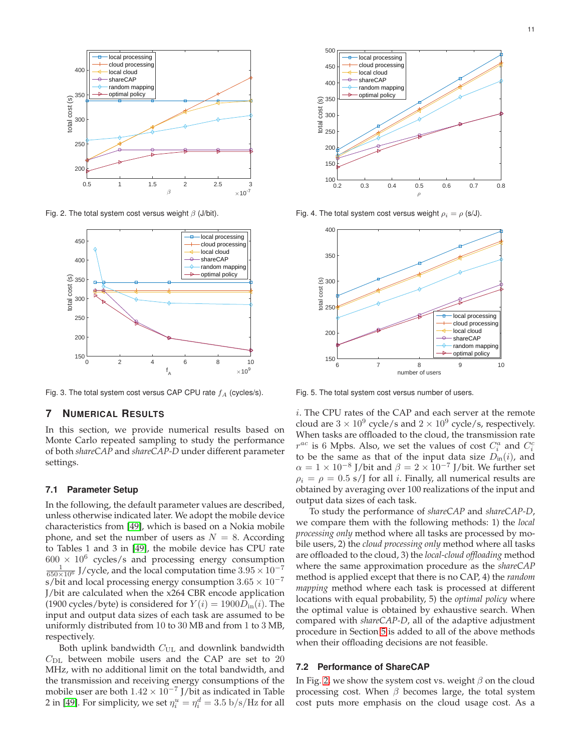11



Fig. 2. The total system cost versus weight  $\beta$  (J/bit).

<span id="page-10-1"></span>

<span id="page-10-2"></span><span id="page-10-0"></span>Fig. 3. The total system cost versus CAP CPU rate  $f_A$  (cycles/s).

# **7 NUMERICAL RESULTS**

In this section, we provide numerical results based on Monte Carlo repeated sampling to study the performance of both *shareCAP* and *shareCAP-D* under different parameter settings.

## **7.1 Parameter Setup**

In the following, the default parameter values are described, unless otherwise indicated later. We adopt the mobile device characteristics from [\[49\]](#page-13-19), which is based on a Nokia mobile phone, and set the number of users as  $N = 8$ . According to Tables 1 and 3 in [\[49\]](#page-13-19), the mobile device has CPU rate  $600 \times 10^6$  cycles/s and processing energy consumption  $\frac{1}{650\times10^6}$  J/cycle, and the local computation time 3.95 × 10<sup>-7</sup> s/bit and local processing energy consumption  $3.65 \times 10^{-7}$ J/bit are calculated when the x264 CBR encode application (1900 cycles/byte) is considered for  $Y(i) = 1900 D_{\text{in}}(i)$ . The input and output data sizes of each task are assumed to be uniformly distributed from 10 to 30 MB and from 1 to 3 MB, respectively.

Both uplink bandwidth  $C_{\text{UL}}$  and downlink bandwidth  $C_{\text{DL}}$  between mobile users and the CAP are set to 20 MHz, with no additional limit on the total bandwidth, and the transmission and receiving energy consumptions of the mobile user are both  $1.42 \times 10^{-7}$  J/bit as indicated in Table 2 in [\[49\]](#page-13-19). For simplicity, we set  $\eta_i^u = \eta_i^d = 3.5\:\text{b/s/Hz}$  for all



Fig. 4. The total system cost versus weight  $\rho_i = \rho$  (s/J).

<span id="page-10-3"></span>

<span id="page-10-4"></span>Fig. 5. The total system cost versus number of users.

i. The CPU rates of the CAP and each server at the remote cloud are  $3 \times 10^9$  cycle/s and  $2 \times 10^9$  cycle/s, respectively. When tasks are offloaded to the cloud, the transmission rate  $r^{ac}$  is 6 Mpbs. Also, we set the values of cost  $C_i^a$  and  $C_i^c$ to be the same as that of the input data size  $D_{\text{in}}(i)$ , and  $\alpha = 1 \times 10^{-8}$  J/bit and  $\beta = 2 \times 10^{-7}$  J/bit. We further set  $\rho_i = \rho = 0.5$  s/J for all *i*. Finally, all numerical results are obtained by averaging over 100 realizations of the input and output data sizes of each task.

To study the performance of *shareCAP* and *shareCAP-D*, we compare them with the following methods: 1) the *local processing only* method where all tasks are processed by mobile users, 2) the *cloud processing only* method where all tasks are offloaded to the cloud, 3) the *local-cloud offloading* method where the same approximation procedure as the *shareCAP* method is applied except that there is no CAP, 4) the *random mapping* method where each task is processed at different locations with equal probability, 5) the *optimal policy* where the optimal value is obtained by exhaustive search. When compared with *shareCAP-D*, all of the adaptive adjustment procedure in Section [5](#page-7-0) is added to all of the above methods when their offloading decisions are not feasible.

## **7.2 Performance of ShareCAP**

In Fig. [2,](#page-10-1) we show the system cost vs. weight  $\beta$  on the cloud processing cost. When  $\beta$  becomes large, the total system cost puts more emphasis on the cloud usage cost. As a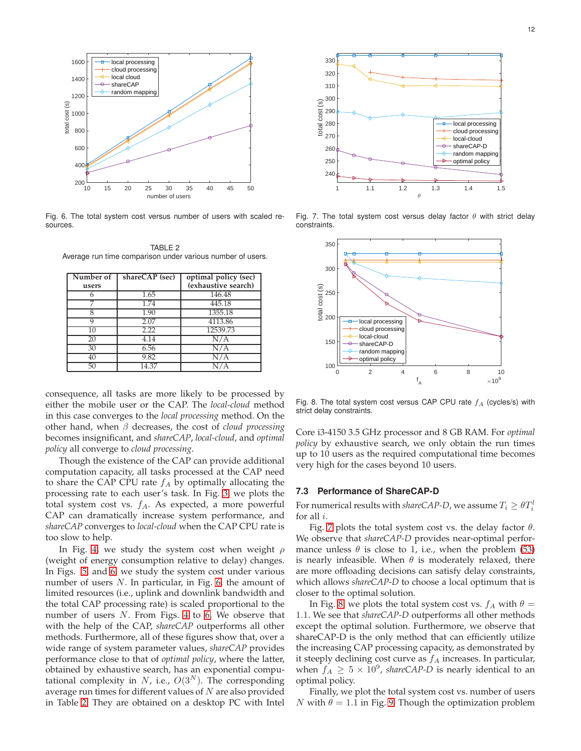

<span id="page-11-0"></span>Fig. 6. The total system cost versus number of users with scaled resources.

<span id="page-11-1"></span>TABLE 2 Average run time comparison under various number of users.

| $\overline{\text{Number of}}$<br>users | shareCAP (sec) | optimal policy (sec)<br>(exhaustive search) |
|----------------------------------------|----------------|---------------------------------------------|
|                                        | 1.65           | 146.48                                      |
|                                        | 1.74           | 445.18                                      |
| 8                                      | 1.90           | 1355.18                                     |
| q                                      | 2.07           | 4113.86                                     |
| 10                                     | 2.22           | 12539.73                                    |
| 20                                     | 4.14           | N/A                                         |
| 30                                     | 6.56           | N/A                                         |
| 40                                     | 9.82           | N/A                                         |
| 50                                     | 14.37          |                                             |

consequence, all tasks are more likely to be processed by either the mobile user or the CAP. The *local-cloud* method in this case converges to the *local processing* method. On the other hand, when β decreases, the cost of *cloud processing* becomes insignificant, and *shareCAP*, *local-cloud*, and *optimal policy* all converge to *cloud processing*.

Though the existence of the CAP can provide additional computation capacity, all tasks processed at the CAP need to share the CAP CPU rate  $f_A$  by optimally allocating the processing rate to each user's task. In Fig. [3,](#page-10-2) we plots the total system cost vs.  $f_A$ . As expected, a more powerful CAP can dramatically increase system performance, and *shareCAP* converges to *local-cloud* when the CAP CPU rate is too slow to help.

In Fig. [4,](#page-10-3) we study the system cost when weight  $\rho$ (weight of energy consumption relative to delay) changes. In Figs. [5,](#page-10-4) and [6,](#page-11-0) we study the system cost under various number of users N. In particular, in Fig. [6,](#page-11-0) the amount of limited resources (i.e., uplink and downlink bandwidth and the total CAP processing rate) is scaled proportional to the number of users N. From Figs. [4](#page-10-3) to [6,](#page-11-0) We observe that with the help of the CAP, *shareCAP* outperforms all other methods. Furthermore, all of these figures show that, over a wide range of system parameter values, *shareCAP* provides performance close to that of *optimal policy*, where the latter, obtained by exhaustive search, has an exponential computational complexity in N, i.e.,  $O(3<sup>N</sup>)$ . The corresponding average run times for different values of  $N$  are also provided in Table [2.](#page-11-1) They are obtained on a desktop PC with Intel



Fig. 7. The total system cost versus delay factor  $\theta$  with strict delay constraints.

<span id="page-11-2"></span>

<span id="page-11-3"></span>Fig. 8. The total system cost versus CAP CPU rate  $f_A$  (cycles/s) with strict delay constraints.

Core i3-4150 3.5 GHz processor and 8 GB RAM. For *optimal policy* by exhaustive search, we only obtain the run times up to 10 users as the required computational time becomes very high for the cases beyond 10 users.

### **7.3 Performance of ShareCAP-D**

For numerical results with *shareCAP-D*, we assume  $T_i \geq \theta T_i^l$ for all i.

Fig. [7](#page-11-2) plots the total system cost vs. the delay factor  $\theta$ . We observe that *shareCAP-D* provides near-optimal performance unless  $\theta$  is close to 1, i.e., when the problem [\(53\)](#page-7-4) is nearly infeasible. When  $\theta$  is moderately relaxed, there are more offloading decisions can satisfy delay constraints, which allows *shareCAP-D* to choose a local optimum that is closer to the optimal solution.

In Fig. [8,](#page-11-3) we plots the total system cost vs.  $f_A$  with  $\theta =$ 1.1. We see that *shareCAP-D* outperforms all other methods except the optimal solution. Furthermore, we observe that shareCAP-D is the only method that can efficiently utilize the increasing CAP processing capacity, as demonstrated by it steeply declining cost curve as  $f_A$  increases. In particular, when  $f_A \geq 5 \times 10^9$ , *shareCAP-D* is nearly identical to an optimal policy.

Finally, we plot the total system cost vs. number of users N with  $\theta = 1.1$  in Fig. [9.](#page-12-30) Though the optimization problem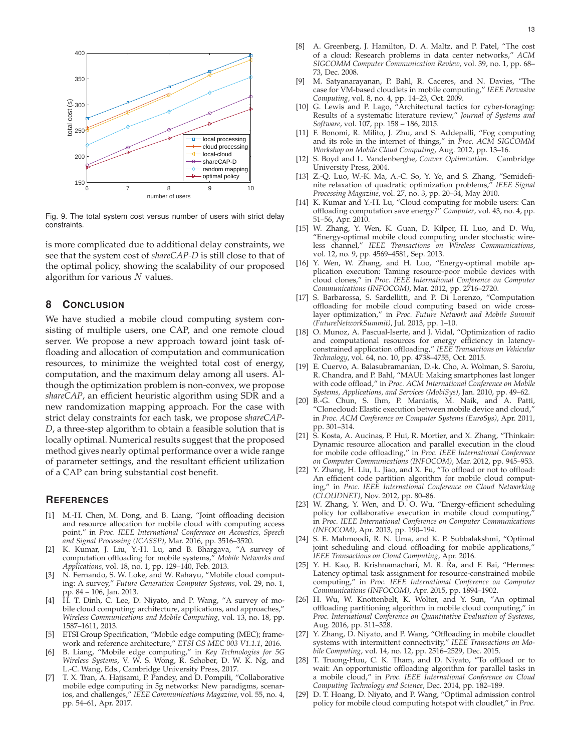

<span id="page-12-30"></span>Fig. 9. The total system cost versus number of users with strict delay constraints.

is more complicated due to additional delay constraints, we see that the system cost of *shareCAP-D* is still close to that of the optimal policy, showing the scalability of our proposed algorithm for various  $N$  values.

## <span id="page-12-13"></span>**8 CONCLUSION**

We have studied a mobile cloud computing system consisting of multiple users, one CAP, and one remote cloud server. We propose a new approach toward joint task offloading and allocation of computation and communication resources, to minimize the weighted total cost of energy, computation, and the maximum delay among all users. Although the optimization problem is non-convex, we propose *shareCAP*, an efficient heuristic algorithm using SDR and a new randomization mapping approach. For the case with strict delay constraints for each task, we propose *shareCAP-D*, a three-step algorithm to obtain a feasible solution that is locally optimal. Numerical results suggest that the proposed method gives nearly optimal performance over a wide range of parameter settings, and the resultant efficient utilization of a CAP can bring substantial cost benefit.

## **REFERENCES**

- <span id="page-12-10"></span>[1] M.-H. Chen, M. Dong, and B. Liang, "Joint offloading decision and resource allocation for mobile cloud with computing access point," in *Proc. IEEE International Conference on Acoustics, Speech and Signal Processing (ICASSP)*, Mar. 2016, pp. 3516–3520.
- <span id="page-12-0"></span>[2] K. Kumar, J. Liu, Y.-H. Lu, and B. Bhargava, "A survey of computation offloading for mobile systems," *Mobile Networks and Applications*, vol. 18, no. 1, pp. 129–140, Feb. 2013.
- <span id="page-12-1"></span>N. Fernando, S. W. Loke, and W. Rahayu, "Mobile cloud computing: A survey," *Future Generation Computer Systems*, vol. 29, no. 1, pp. 84 – 106, Jan. 2013.
- <span id="page-12-2"></span>[4] H. T. Dinh, C. Lee, D. Niyato, and P. Wang, "A survey of mobile cloud computing: architecture, applications, and approaches," *Wireless Communications and Mobile Computing*, vol. 13, no. 18, pp. 1587–1611, 2013.
- <span id="page-12-3"></span>[5] ETSI Group Specification, "Mobile edge computing (MEC); framework and reference architecture," *ETSI GS MEC 003 V1.1.1*, 2016.
- <span id="page-12-4"></span>[6] B. Liang, "Mobile edge computing," in *Key Technologies for 5G Wireless Systems*, V. W. S. Wong, R. Schober, D. W. K. Ng, and L.-C. Wang, Eds., Cambridge University Press, 2017.
- <span id="page-12-5"></span>[7] T. X. Tran, A. Hajisami, P. Pandey, and D. Pompili, "Collaborative mobile edge computing in 5g networks: New paradigms, scenarios, and challenges," *IEEE Communications Magazine*, vol. 55, no. 4, pp. 54–61, Apr. 2017.
- <span id="page-12-6"></span>[8] A. Greenberg, J. Hamilton, D. A. Maltz, and P. Patel, "The cost of a cloud: Research problems in data center networks," *ACM SIGCOMM Computer Communication Review*, vol. 39, no. 1, pp. 68– 73, Dec. 2008.
- <span id="page-12-7"></span>[9] M. Satyanarayanan, P. Bahl, R. Caceres, and N. Davies, "The case for VM-based cloudlets in mobile computing," *IEEE Pervasive Computing*, vol. 8, no. 4, pp. 14–23, Oct. 2009.
- <span id="page-12-8"></span>[10] G. Lewis and P. Lago, "Architectural tactics for cyber-foraging: Results of a systematic literature review," *Journal of Systems and Software*, vol. 107, pp. 158 – 186, 2015.
- <span id="page-12-9"></span>[11] F. Bonomi, R. Milito, J. Zhu, and S. Addepalli, "Fog computing and its role in the internet of things," in *Proc. ACM SIGCOMM Workshop on Mobile Cloud Computing*, Aug. 2012, pp. 13–16.
- <span id="page-12-11"></span>[12] S. Boyd and L. Vandenberghe, *Convex Optimization*. Cambridge University Press, 2004.
- <span id="page-12-12"></span>[13] Z.-Q. Luo, W.-K. Ma, A.-C. So, Y. Ye, and S. Zhang, "Semidefinite relaxation of quadratic optimization problems," *IEEE Signal Processing Magazine*, vol. 27, no. 3, pp. 20–34, May 2010.
- <span id="page-12-14"></span>[14] K. Kumar and Y.-H. Lu, "Cloud computing for mobile users: Can offloading computation save energy?" *Computer*, vol. 43, no. 4, pp. 51–56, Apr. 2010.
- <span id="page-12-15"></span>[15] W. Zhang, Y. Wen, K. Guan, D. Kilper, H. Luo, and D. Wu, "Energy-optimal mobile cloud computing under stochastic wireless channel," *IEEE Transactions on Wireless Communications*, vol. 12, no. 9, pp. 4569–4581, Sep. 2013.
- <span id="page-12-16"></span>[16] Y. Wen, W. Zhang, and H. Luo, "Energy-optimal mobile application execution: Taming resource-poor mobile devices with cloud clones," in *Proc. IEEE International Conference on Computer Communications (INFOCOM)*, Mar. 2012, pp. 2716–2720.
- <span id="page-12-17"></span>[17] S. Barbarossa, S. Sardellitti, and P. Di Lorenzo, "Computation offloading for mobile cloud computing based on wide crosslayer optimization," in *Proc. Future Network and Mobile Summit (FutureNetworkSummit)*, Jul. 2013, pp. 1–10.
- <span id="page-12-18"></span>[18] O. Munoz, A. Pascual-Iserte, and J. Vidal, "Optimization of radio and computational resources for energy efficiency in latencyconstrained application offloading," *IEEE Transactions on Vehicular Technology*, vol. 64, no. 10, pp. 4738–4755, Oct. 2015.
- <span id="page-12-19"></span>[19] E. Cuervo, A. Balasubramanian, D.-k. Cho, A. Wolman, S. Saroiu, R. Chandra, and P. Bahl, "MAUI: Making smartphones last longer with code offload," in *Proc. ACM International Conference on Mobile Systems, Applications, and Services (MobiSys)*, Jan. 2010, pp. 49–62.
- <span id="page-12-20"></span>[20] B.-G. Chun, S. Ihm, P. Maniatis, M. Naik, and A. Patti, "Clonecloud: Elastic execution between mobile device and cloud," in *Proc. ACM Conference on Computer Systems (EuroSys)*, Apr. 2011, pp. 301–314.
- <span id="page-12-21"></span>[21] S. Kosta, A. Aucinas, P. Hui, R. Mortier, and X. Zhang, "Thinkair: Dynamic resource allocation and parallel execution in the cloud for mobile code offloading," in *Proc. IEEE International Conference on Computer Communications (INFOCOM)*, Mar. 2012, pp. 945–953.
- <span id="page-12-22"></span>[22] Y. Zhang, H. Liu, L. Jiao, and X. Fu, "To offload or not to offload: An efficient code partition algorithm for mobile cloud computing," in *Proc. IEEE International Conference on Cloud Networking (CLOUDNET)*, Nov. 2012, pp. 80–86.
- <span id="page-12-23"></span>[23] W. Zhang, Y. Wen, and D. O. Wu, "Energy-efficient scheduling policy for collaborative execution in mobile cloud computing, in *Proc. IEEE International Conference on Computer Communications (INFOCOM)*, Apr. 2013, pp. 190–194.
- <span id="page-12-24"></span>[24] S. E. Mahmoodi, R. N. Uma, and K. P. Subbalakshmi, "Optimal joint scheduling and cloud offloading for mobile applications," *IEEE Transactions on Cloud Computing*, Apr. 2016.
- <span id="page-12-25"></span>[25] Y. H. Kao, B. Krishnamachari, M. R. Ra, and F. Bai, "Hermes: Latency optimal task assignment for resource-constrained mobile computing," in *Proc. IEEE International Conference on Computer Communications (INFOCOM)*, Apr. 2015, pp. 1894–1902.
- <span id="page-12-26"></span>[26] H. Wu, W. Knottenbelt, K. Wolter, and Y. Sun, "An optimal offloading partitioning algorithm in mobile cloud computing," in *Proc. International Conference on Quantitative Evaluation of Systems*, Aug. 2016, pp. 311–328.
- <span id="page-12-27"></span>[27] Y. Zhang, D. Niyato, and P. Wang, "Offloading in mobile cloudlet systems with intermittent connectivity," *IEEE Transactions on Mobile Computing*, vol. 14, no. 12, pp. 2516–2529, Dec. 2015.
- <span id="page-12-28"></span>[28] T. Truong-Huu, C. K. Tham, and D. Niyato, "To offload or to wait: An opportunistic offloading algorithm for parallel tasks in a mobile cloud," in *Proc. IEEE International Conference on Cloud Computing Technology and Science*, Dec. 2014, pp. 182–189.
- <span id="page-12-29"></span>[29] D. T. Hoang, D. Niyato, and P. Wang, "Optimal admission control policy for mobile cloud computing hotspot with cloudlet," in *Proc.*